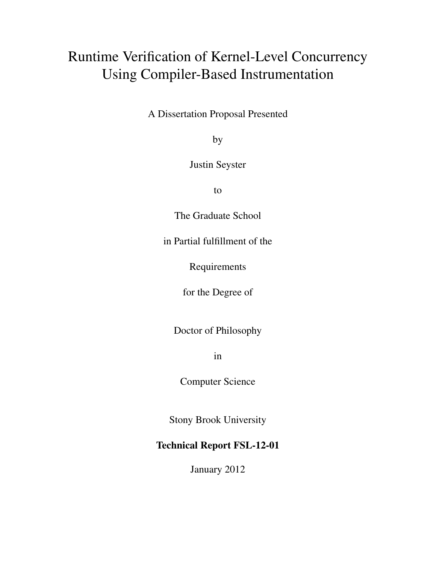## Runtime Verification of Kernel-Level Concurrency Using Compiler-Based Instrumentation

A Dissertation Proposal Presented

by

Justin Seyster

to

The Graduate School

in Partial fulfillment of the

Requirements

for the Degree of

Doctor of Philosophy

in

Computer Science

Stony Brook University

## Technical Report FSL-12-01

January 2012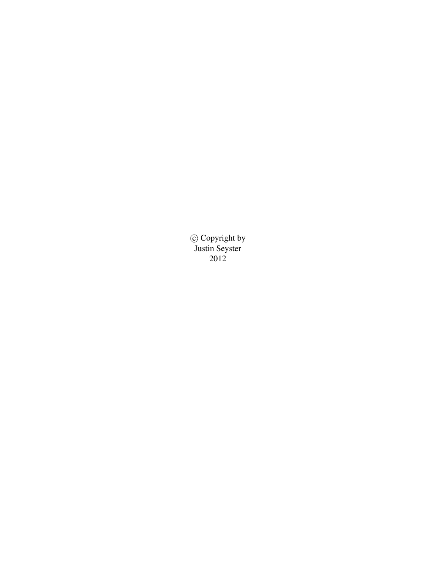© Copyright by Justin Seyster 2012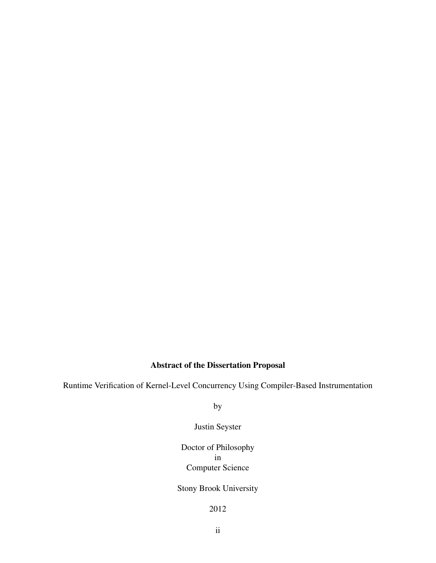### Abstract of the Dissertation Proposal

Runtime Verification of Kernel-Level Concurrency Using Compiler-Based Instrumentation

by

Justin Seyster

Doctor of Philosophy in Computer Science

Stony Brook University

### 2012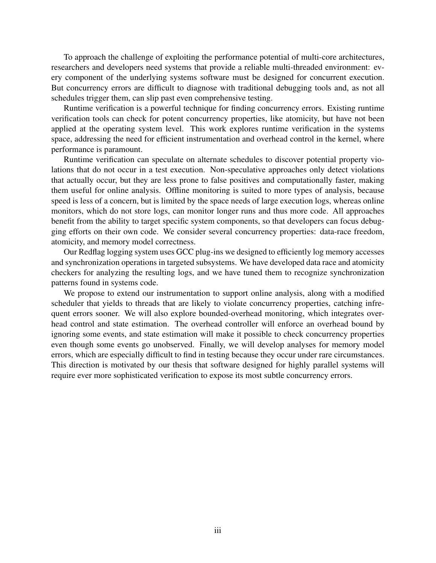To approach the challenge of exploiting the performance potential of multi-core architectures, researchers and developers need systems that provide a reliable multi-threaded environment: every component of the underlying systems software must be designed for concurrent execution. But concurrency errors are difficult to diagnose with traditional debugging tools and, as not all schedules trigger them, can slip past even comprehensive testing.

Runtime verification is a powerful technique for finding concurrency errors. Existing runtime verification tools can check for potent concurrency properties, like atomicity, but have not been applied at the operating system level. This work explores runtime verification in the systems space, addressing the need for efficient instrumentation and overhead control in the kernel, where performance is paramount.

Runtime verification can speculate on alternate schedules to discover potential property violations that do not occur in a test execution. Non-speculative approaches only detect violations that actually occur, but they are less prone to false positives and computationally faster, making them useful for online analysis. Offline monitoring is suited to more types of analysis, because speed is less of a concern, but is limited by the space needs of large execution logs, whereas online monitors, which do not store logs, can monitor longer runs and thus more code. All approaches benefit from the ability to target specific system components, so that developers can focus debugging efforts on their own code. We consider several concurrency properties: data-race freedom, atomicity, and memory model correctness.

Our Redflag logging system uses GCC plug-ins we designed to efficiently log memory accesses and synchronization operations in targeted subsystems. We have developed data race and atomicity checkers for analyzing the resulting logs, and we have tuned them to recognize synchronization patterns found in systems code.

We propose to extend our instrumentation to support online analysis, along with a modified scheduler that yields to threads that are likely to violate concurrency properties, catching infrequent errors sooner. We will also explore bounded-overhead monitoring, which integrates overhead control and state estimation. The overhead controller will enforce an overhead bound by ignoring some events, and state estimation will make it possible to check concurrency properties even though some events go unobserved. Finally, we will develop analyses for memory model errors, which are especially difficult to find in testing because they occur under rare circumstances. This direction is motivated by our thesis that software designed for highly parallel systems will require ever more sophisticated verification to expose its most subtle concurrency errors.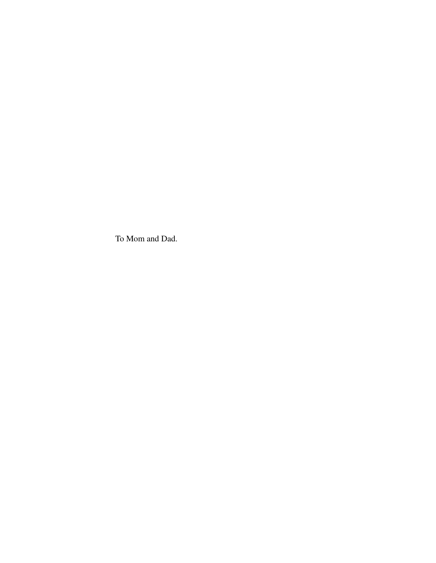To Mom and Dad.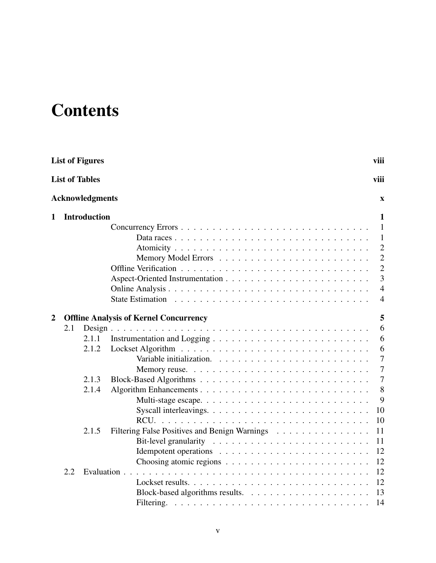# **Contents**

|                | <b>List of Figures</b><br>viii |                        |                                               |                |  |  |  |
|----------------|--------------------------------|------------------------|-----------------------------------------------|----------------|--|--|--|
|                | <b>List of Tables</b>          |                        |                                               | viii           |  |  |  |
|                |                                | <b>Acknowledgments</b> |                                               | $\mathbf X$    |  |  |  |
| 1              |                                | <b>Introduction</b>    |                                               | $\mathbf{1}$   |  |  |  |
|                |                                |                        |                                               | $\mathbf{1}$   |  |  |  |
|                |                                |                        |                                               | $\mathbf{1}$   |  |  |  |
|                |                                |                        |                                               | $\overline{2}$ |  |  |  |
|                |                                |                        |                                               | $\overline{2}$ |  |  |  |
|                |                                |                        |                                               | $\overline{2}$ |  |  |  |
|                |                                |                        |                                               | 3              |  |  |  |
|                |                                |                        |                                               | $\overline{4}$ |  |  |  |
|                |                                |                        |                                               | $\overline{4}$ |  |  |  |
| $\overline{2}$ |                                |                        | <b>Offline Analysis of Kernel Concurrency</b> | 5              |  |  |  |
|                | 2.1                            |                        |                                               | 6              |  |  |  |
|                |                                | 2.1.1                  |                                               | 6              |  |  |  |
|                |                                | 2.1.2                  |                                               | 6              |  |  |  |
|                |                                |                        |                                               | $\overline{7}$ |  |  |  |
|                |                                |                        |                                               | $\overline{7}$ |  |  |  |
|                |                                | 2.1.3                  |                                               | $\overline{7}$ |  |  |  |
|                |                                | 2.1.4                  |                                               | 8              |  |  |  |
|                |                                |                        |                                               | 9              |  |  |  |
|                |                                |                        |                                               | 10             |  |  |  |
|                |                                |                        |                                               | 10             |  |  |  |
|                |                                | 2.1.5                  | Filtering False Positives and Benign Warnings | 11             |  |  |  |
|                |                                |                        |                                               | 11             |  |  |  |
|                |                                |                        |                                               | 12             |  |  |  |
|                |                                |                        |                                               | 12             |  |  |  |
|                | 2.2                            |                        | Evaluation                                    | 12             |  |  |  |
|                |                                |                        |                                               | 12             |  |  |  |
|                |                                |                        |                                               | 13             |  |  |  |
|                |                                |                        |                                               | 14             |  |  |  |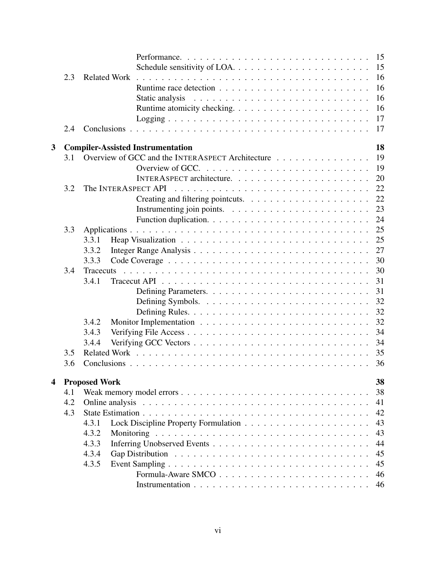|              |     |                      |                                                                                                    | 15 |
|--------------|-----|----------------------|----------------------------------------------------------------------------------------------------|----|
|              |     |                      | Schedule sensitivity of LOA. $\dots \dots \dots \dots \dots \dots \dots \dots$                     | 15 |
|              | 2.3 | <b>Related Work</b>  |                                                                                                    | 16 |
|              |     |                      |                                                                                                    | 16 |
|              |     |                      | Static analysis                                                                                    | 16 |
|              |     |                      | Runtime atomicity checking                                                                         | 16 |
|              |     |                      |                                                                                                    | 17 |
|              | 2.4 |                      |                                                                                                    | 17 |
| $\mathbf{3}$ |     |                      | <b>Compiler-Assisted Instrumentation</b>                                                           | 18 |
|              | 3.1 |                      | Overview of GCC and the INTERASPECT Architecture                                                   | 19 |
|              |     |                      |                                                                                                    | 19 |
|              |     |                      |                                                                                                    | 20 |
|              | 3.2 | The INTERASPECT API  |                                                                                                    | 22 |
|              |     |                      |                                                                                                    | 22 |
|              |     |                      | Instrumenting join points. $\ldots \ldots \ldots \ldots \ldots \ldots \ldots$                      | 23 |
|              |     |                      |                                                                                                    | 24 |
|              | 3.3 |                      |                                                                                                    | 25 |
|              |     | 3.3.1                |                                                                                                    | 25 |
|              |     | 3.3.2                |                                                                                                    | 27 |
|              |     | 3.3.3                |                                                                                                    | 30 |
|              | 3.4 | Tracecuts            |                                                                                                    | 30 |
|              |     | 3.4.1                | Tracecut API $\ldots \ldots \ldots \ldots \ldots \ldots \ldots \ldots \ldots \ldots \ldots \ldots$ | 31 |
|              |     |                      |                                                                                                    | 31 |
|              |     |                      |                                                                                                    | 32 |
|              |     |                      |                                                                                                    | 32 |
|              |     | 3.4.2                |                                                                                                    | 32 |
|              |     | 3.4.3                |                                                                                                    | 34 |
|              |     | 3.4.4                |                                                                                                    | 34 |
|              | 3.5 |                      |                                                                                                    | 35 |
|              | 3.6 |                      |                                                                                                    | 36 |
| 4            |     | <b>Proposed Work</b> |                                                                                                    | 38 |
|              | 4.1 |                      |                                                                                                    | 38 |
|              | 4.2 |                      |                                                                                                    | 41 |
|              | 4.3 |                      |                                                                                                    | 42 |
|              |     | 4.3.1                |                                                                                                    | 43 |
|              |     | 4.3.2                |                                                                                                    | 43 |
|              |     | 4.3.3                |                                                                                                    | 44 |
|              |     | 4.3.4                |                                                                                                    | 45 |
|              |     | 4.3.5                |                                                                                                    | 45 |
|              |     |                      |                                                                                                    | 46 |
|              |     |                      |                                                                                                    | 46 |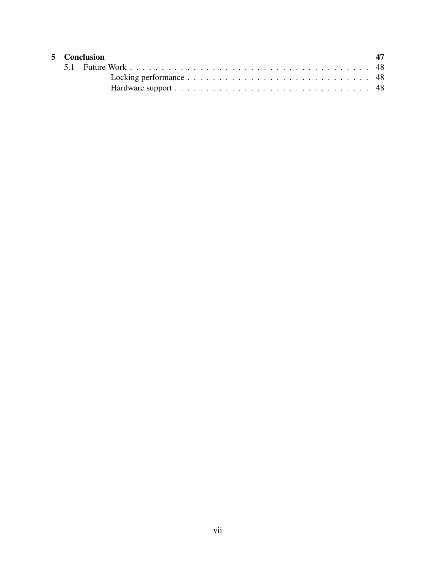|  | 5 Conclusion |  |
|--|--------------|--|
|  |              |  |
|  |              |  |
|  |              |  |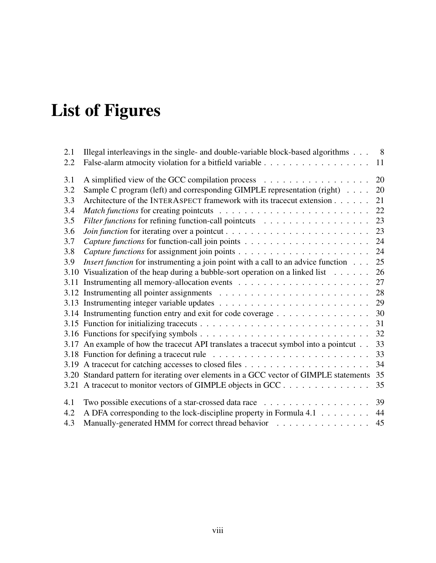# List of Figures

| 2.1  | Illegal interleavings in the single- and double-variable block-based algorithms         | 8  |
|------|-----------------------------------------------------------------------------------------|----|
| 2.2  |                                                                                         | 11 |
| 3.1  |                                                                                         | 20 |
| 3.2  | Sample C program (left) and corresponding GIMPLE representation (right)                 | 20 |
| 3.3  | Architecture of the INTERASPECT framework with its tracecut extension                   | 21 |
| 3.4  |                                                                                         | 22 |
| 3.5  |                                                                                         | 23 |
| 3.6  |                                                                                         | 23 |
| 3.7  |                                                                                         | 24 |
| 3.8  |                                                                                         | 24 |
| 3.9  | <i>Insert function</i> for instrumenting a join point with a call to an advice function | 25 |
| 3.10 | Visualization of the heap during a bubble-sort operation on a linked list $\dots \dots$ | 26 |
| 3.11 |                                                                                         | 27 |
|      |                                                                                         | 28 |
|      |                                                                                         | 29 |
|      | 3.14 Instrumenting function entry and exit for code coverage                            | 30 |
|      |                                                                                         | 31 |
|      |                                                                                         | 32 |
|      | 3.17 An example of how the tracecut API translates a tracecut symbol into a pointcut    | 33 |
|      |                                                                                         | 33 |
|      |                                                                                         | 34 |
|      | 3.20 Standard pattern for iterating over elements in a GCC vector of GIMPLE statements  | 35 |
|      | 3.21 A tracecut to monitor vectors of GIMPLE objects in GCC                             | 35 |
| 4.1  |                                                                                         | 39 |
| 4.2  | A DFA corresponding to the lock-discipline property in Formula 4.1                      | 44 |
| 4.3  | Manually-generated HMM for correct thread behavior                                      | 45 |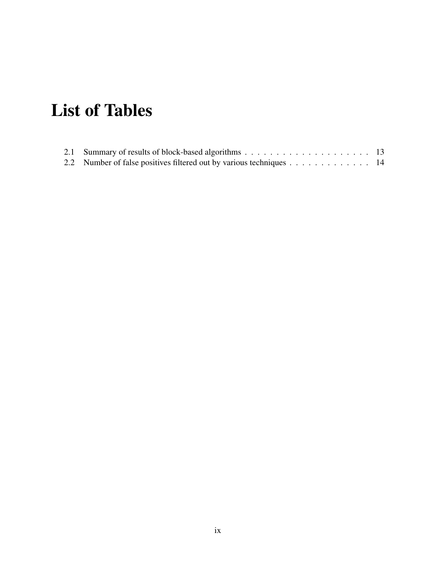# List of Tables

| 2.2 Number of false positives filtered out by various techniques 14 |  |
|---------------------------------------------------------------------|--|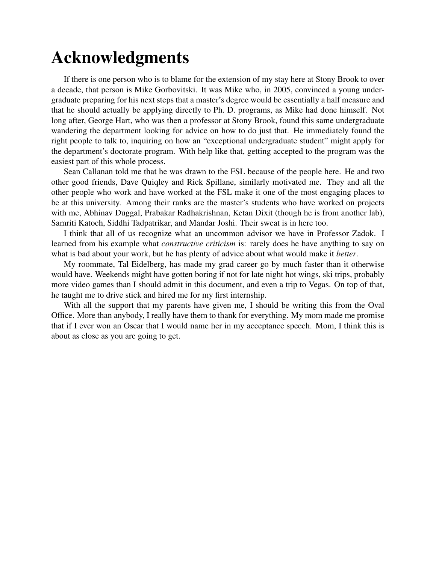## Acknowledgments

If there is one person who is to blame for the extension of my stay here at Stony Brook to over a decade, that person is Mike Gorbovitski. It was Mike who, in 2005, convinced a young undergraduate preparing for his next steps that a master's degree would be essentially a half measure and that he should actually be applying directly to Ph. D. programs, as Mike had done himself. Not long after, George Hart, who was then a professor at Stony Brook, found this same undergraduate wandering the department looking for advice on how to do just that. He immediately found the right people to talk to, inquiring on how an "exceptional undergraduate student" might apply for the department's doctorate program. With help like that, getting accepted to the program was the easiest part of this whole process.

Sean Callanan told me that he was drawn to the FSL because of the people here. He and two other good friends, Dave Quiqley and Rick Spillane, similarly motivated me. They and all the other people who work and have worked at the FSL make it one of the most engaging places to be at this university. Among their ranks are the master's students who have worked on projects with me, Abhinav Duggal, Prabakar Radhakrishnan, Ketan Dixit (though he is from another lab), Samriti Katoch, Siddhi Tadpatrikar, and Mandar Joshi. Their sweat is in here too.

I think that all of us recognize what an uncommon advisor we have in Professor Zadok. I learned from his example what *constructive criticism* is: rarely does he have anything to say on what is bad about your work, but he has plenty of advice about what would make it *better*.

My roommate, Tal Eidelberg, has made my grad career go by much faster than it otherwise would have. Weekends might have gotten boring if not for late night hot wings, ski trips, probably more video games than I should admit in this document, and even a trip to Vegas. On top of that, he taught me to drive stick and hired me for my first internship.

With all the support that my parents have given me, I should be writing this from the Oval Office. More than anybody, I really have them to thank for everything. My mom made me promise that if I ever won an Oscar that I would name her in my acceptance speech. Mom, I think this is about as close as you are going to get.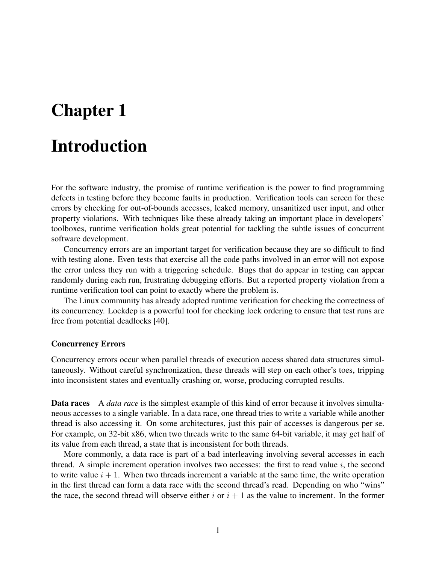## Chapter 1

## Introduction

For the software industry, the promise of runtime verification is the power to find programming defects in testing before they become faults in production. Verification tools can screen for these errors by checking for out-of-bounds accesses, leaked memory, unsanitized user input, and other property violations. With techniques like these already taking an important place in developers' toolboxes, runtime verification holds great potential for tackling the subtle issues of concurrent software development.

Concurrency errors are an important target for verification because they are so difficult to find with testing alone. Even tests that exercise all the code paths involved in an error will not expose the error unless they run with a triggering schedule. Bugs that do appear in testing can appear randomly during each run, frustrating debugging efforts. But a reported property violation from a runtime verification tool can point to exactly where the problem is.

The Linux community has already adopted runtime verification for checking the correctness of its concurrency. Lockdep is a powerful tool for checking lock ordering to ensure that test runs are free from potential deadlocks [40].

#### Concurrency Errors

Concurrency errors occur when parallel threads of execution access shared data structures simultaneously. Without careful synchronization, these threads will step on each other's toes, tripping into inconsistent states and eventually crashing or, worse, producing corrupted results.

Data races A *data race* is the simplest example of this kind of error because it involves simultaneous accesses to a single variable. In a data race, one thread tries to write a variable while another thread is also accessing it. On some architectures, just this pair of accesses is dangerous per se. For example, on 32-bit x86, when two threads write to the same 64-bit variable, it may get half of its value from each thread, a state that is inconsistent for both threads.

More commonly, a data race is part of a bad interleaving involving several accesses in each thread. A simple increment operation involves two accesses: the first to read value  $i$ , the second to write value  $i + 1$ . When two threads increment a variable at the same time, the write operation in the first thread can form a data race with the second thread's read. Depending on who "wins" the race, the second thread will observe either i or  $i + 1$  as the value to increment. In the former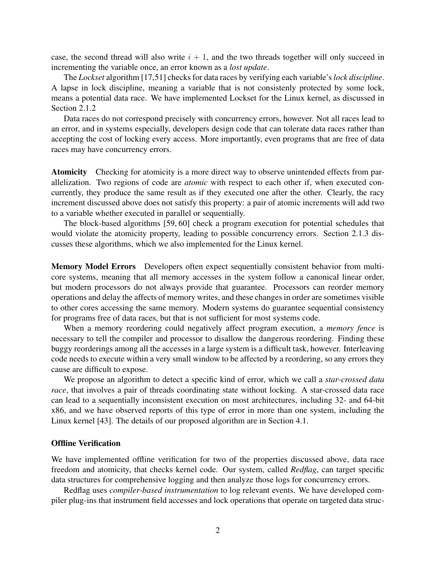case, the second thread will also write  $i + 1$ , and the two threads together will only succeed in incrementing the variable once, an error known as a *lost update*.

The *Lockset* algorithm [17,51] checks for data races by verifying each variable's*lock discipline*. A lapse in lock discipline, meaning a variable that is not consistenly protected by some lock, means a potential data race. We have implemented Lockset for the Linux kernel, as discussed in Section 2.1.2

Data races do not correspond precisely with concurrency errors, however. Not all races lead to an error, and in systems especially, developers design code that can tolerate data races rather than accepting the cost of locking every access. More importantly, even programs that are free of data races may have concurrency errors.

Atomicity Checking for atomicity is a more direct way to observe unintended effects from parallelization. Two regions of code are *atomic* with respect to each other if, when executed concurrently, they produce the same result as if they executed one after the other. Clearly, the racy increment discussed above does not satisfy this property: a pair of atomic increments will add two to a variable whether executed in parallel or sequentially.

The block-based algorithms [59, 60] check a program execution for potential schedules that would violate the atomicity property, leading to possible concurrency errors. Section 2.1.3 discusses these algorithms, which we also implemented for the Linux kernel.

Memory Model Errors Developers often expect sequentially consistent behavior from multicore systems, meaning that all memory accesses in the system follow a canonical linear order, but modern processors do not always provide that guarantee. Processors can reorder memory operations and delay the affects of memory writes, and these changes in order are sometimes visible to other cores accessing the same memory. Modern systems do guarantee sequential consistency for programs free of data races, but that is not sufficient for most systems code.

When a memory reordering could negatively affect program execution, a *memory fence* is necessary to tell the compiler and processor to disallow the dangerous reordering. Finding these buggy reorderings among all the accesses in a large system is a difficult task, however. Interleaving code needs to execute within a very small window to be affected by a reordering, so any errors they cause are difficult to expose.

We propose an algorithm to detect a specific kind of error, which we call a *star-crossed data race*, that involves a pair of threads coordinating state without locking. A star-crossed data race can lead to a sequentially inconsistent execution on most architectures, including 32- and 64-bit x86, and we have observed reports of this type of error in more than one system, including the Linux kernel [43]. The details of our proposed algorithm are in Section 4.1.

#### Offline Verification

We have implemented offline verification for two of the properties discussed above, data race freedom and atomicity, that checks kernel code. Our system, called *Redflag*, can target specific data structures for comprehensive logging and then analyze those logs for concurrency errors.

Redflag uses *compiler-based instrumentation* to log relevant events. We have developed compiler plug-ins that instrument field accesses and lock operations that operate on targeted data struc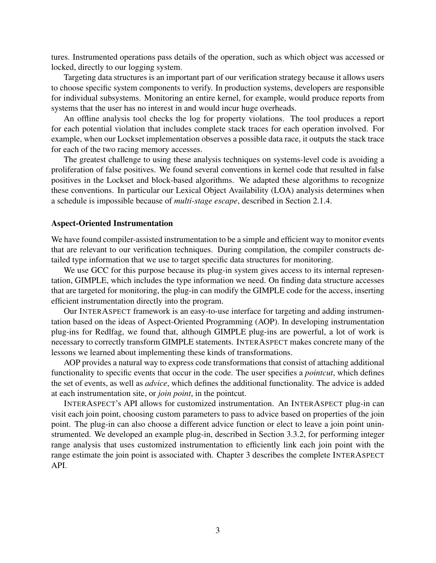tures. Instrumented operations pass details of the operation, such as which object was accessed or locked, directly to our logging system.

Targeting data structures is an important part of our verification strategy because it allows users to choose specific system components to verify. In production systems, developers are responsible for individual subsystems. Monitoring an entire kernel, for example, would produce reports from systems that the user has no interest in and would incur huge overheads.

An offline analysis tool checks the log for property violations. The tool produces a report for each potential violation that includes complete stack traces for each operation involved. For example, when our Lockset implementation observes a possible data race, it outputs the stack trace for each of the two racing memory accesses.

The greatest challenge to using these analysis techniques on systems-level code is avoiding a proliferation of false positives. We found several conventions in kernel code that resulted in false positives in the Lockset and block-based algorithms. We adapted these algorithms to recognize these conventions. In particular our Lexical Object Availability (LOA) analysis determines when a schedule is impossible because of *multi-stage escape*, described in Section 2.1.4.

#### Aspect-Oriented Instrumentation

We have found compiler-assisted instrumentation to be a simple and efficient way to monitor events that are relevant to our verification techniques. During compilation, the compiler constructs detailed type information that we use to target specific data structures for monitoring.

We use GCC for this purpose because its plug-in system gives access to its internal representation, GIMPLE, which includes the type information we need. On finding data structure accesses that are targeted for monitoring, the plug-in can modify the GIMPLE code for the access, inserting efficient instrumentation directly into the program.

Our INTERASPECT framework is an easy-to-use interface for targeting and adding instrumentation based on the ideas of Aspect-Oriented Programming (AOP). In developing instrumentation plug-ins for Redlfag, we found that, although GIMPLE plug-ins are powerful, a lot of work is necessary to correctly transform GIMPLE statements. INTERASPECT makes concrete many of the lessons we learned about implementing these kinds of transformations.

AOP provides a natural way to express code transformations that consist of attaching additional functionality to specific events that occur in the code. The user specifies a *pointcut*, which defines the set of events, as well as *advice*, which defines the additional functionality. The advice is added at each instrumentation site, or *join point*, in the pointcut.

INTERASPECT's API allows for customized instrumentation. An INTERASPECT plug-in can visit each join point, choosing custom parameters to pass to advice based on properties of the join point. The plug-in can also choose a different advice function or elect to leave a join point uninstrumented. We developed an example plug-in, described in Section 3.3.2, for performing integer range analysis that uses customized instrumentation to efficiently link each join point with the range estimate the join point is associated with. Chapter 3 describes the complete INTERASPECT API.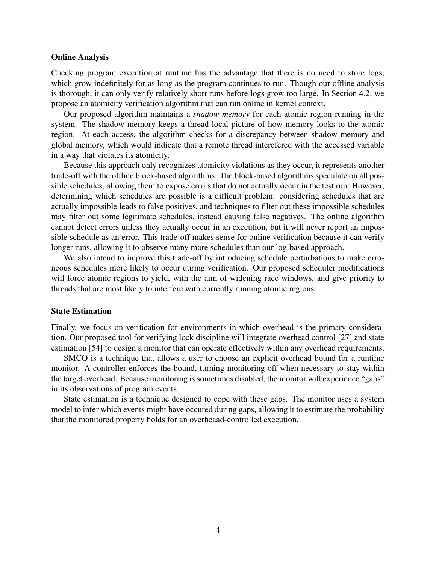#### Online Analysis

Checking program execution at runtime has the advantage that there is no need to store logs, which grow indefinitely for as long as the program continues to run. Though our offline analysis is thorough, it can only verify relatively short runs before logs grow too large. In Section 4.2, we propose an atomicity verification algorithm that can run online in kernel context.

Our proposed algorithm maintains a *shadow memory* for each atomic region running in the system. The shadow memory keeps a thread-local picture of how memory looks to the atomic region. At each access, the algorithm checks for a discrepancy between shadow memory and global memory, which would indicate that a remote thread interefered with the accessed variable in a way that violates its atomicity.

Because this approach only recognizes atomicity violations as they occur, it represents another trade-off with the offline block-based algorithms. The block-based algorithms speculate on all possible schedules, allowing them to expose errors that do not actually occur in the test run. However, determining which schedules are possible is a difficult problem: considering schedules that are actually impossible leads to false positives, and techniques to filter out these impossible schedules may filter out some legitimate schedules, instead causing false negatives. The online algorithm cannot detect errors unless they actually occur in an execution, but it will never report an impossible schedule as an error. This trade-off makes sense for online verification because it can verify longer runs, allowing it to observe many more schedules than our log-based approach.

We also intend to improve this trade-off by introducing schedule perturbations to make erroneous schedules more likely to occur during verification. Our proposed scheduler modifications will force atomic regions to yield, with the aim of widening race windows, and give priority to threads that are most likely to interfere with currently running atomic regions.

#### State Estimation

Finally, we focus on verification for environments in which overhead is the primary consideration. Our proposed tool for verifying lock discipline will integrate overhead control [27] and state estimation [54] to design a monitor that can operate effectively within any overhead requirements.

SMCO is a technique that allows a user to choose an explicit overhead bound for a runtime monitor. A controller enforces the bound, turning monitoring off when necessary to stay within the target overhead. Because monitoring is sometimes disabled, the monitor will experience "gaps" in its observations of program events.

State estimation is a technique designed to cope with these gaps. The monitor uses a system model to infer which events might have occured during gaps, allowing it to estimate the probability that the monitored property holds for an overheaad-controlled execution.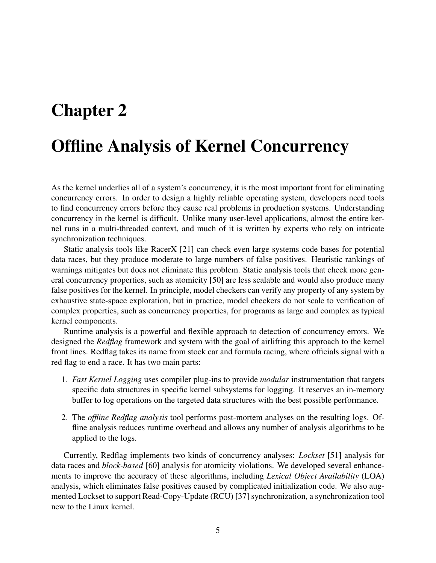## Chapter 2

## Offline Analysis of Kernel Concurrency

As the kernel underlies all of a system's concurrency, it is the most important front for eliminating concurrency errors. In order to design a highly reliable operating system, developers need tools to find concurrency errors before they cause real problems in production systems. Understanding concurrency in the kernel is difficult. Unlike many user-level applications, almost the entire kernel runs in a multi-threaded context, and much of it is written by experts who rely on intricate synchronization techniques.

Static analysis tools like RacerX [21] can check even large systems code bases for potential data races, but they produce moderate to large numbers of false positives. Heuristic rankings of warnings mitigates but does not eliminate this problem. Static analysis tools that check more general concurrency properties, such as atomicity [50] are less scalable and would also produce many false positives for the kernel. In principle, model checkers can verify any property of any system by exhaustive state-space exploration, but in practice, model checkers do not scale to verification of complex properties, such as concurrency properties, for programs as large and complex as typical kernel components.

Runtime analysis is a powerful and flexible approach to detection of concurrency errors. We designed the *Redflag* framework and system with the goal of airlifting this approach to the kernel front lines. Redflag takes its name from stock car and formula racing, where officials signal with a red flag to end a race. It has two main parts:

- 1. *Fast Kernel Logging* uses compiler plug-ins to provide *modular* instrumentation that targets specific data structures in specific kernel subsystems for logging. It reserves an in-memory buffer to log operations on the targeted data structures with the best possible performance.
- 2. The *offline Redflag analysis* tool performs post-mortem analyses on the resulting logs. Offline analysis reduces runtime overhead and allows any number of analysis algorithms to be applied to the logs.

Currently, Redflag implements two kinds of concurrency analyses: *Lockset* [51] analysis for data races and *block-based* [60] analysis for atomicity violations. We developed several enhancements to improve the accuracy of these algorithms, including *Lexical Object Availability* (LOA) analysis, which eliminates false positives caused by complicated initialization code. We also augmented Lockset to support Read-Copy-Update (RCU) [37] synchronization, a synchronization tool new to the Linux kernel.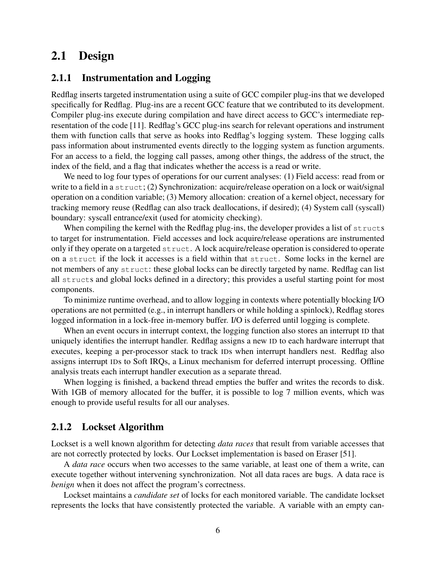## 2.1 Design

#### 2.1.1 Instrumentation and Logging

Redflag inserts targeted instrumentation using a suite of GCC compiler plug-ins that we developed specifically for Redflag. Plug-ins are a recent GCC feature that we contributed to its development. Compiler plug-ins execute during compilation and have direct access to GCC's intermediate representation of the code [11]. Redflag's GCC plug-ins search for relevant operations and instrument them with function calls that serve as hooks into Redflag's logging system. These logging calls pass information about instrumented events directly to the logging system as function arguments. For an access to a field, the logging call passes, among other things, the address of the struct, the index of the field, and a flag that indicates whether the access is a read or write.

We need to log four types of operations for our current analyses: (1) Field access: read from or write to a field in a struct; (2) Synchronization: acquire/release operation on a lock or wait/signal operation on a condition variable; (3) Memory allocation: creation of a kernel object, necessary for tracking memory reuse (Redflag can also track deallocations, if desired); (4) System call (syscall) boundary: syscall entrance/exit (used for atomicity checking).

When compiling the kernel with the Redflag plug-ins, the developer provides a list of structs to target for instrumentation. Field accesses and lock acquire/release operations are instrumented only if they operate on a targeted struct. A lock acquire/release operation is considered to operate on a struct if the lock it accesses is a field within that struct. Some locks in the kernel are not members of any struct: these global locks can be directly targeted by name. Redflag can list all structs and global locks defined in a directory; this provides a useful starting point for most components.

To minimize runtime overhead, and to allow logging in contexts where potentially blocking I/O operations are not permitted (e.g., in interrupt handlers or while holding a spinlock), Redflag stores logged information in a lock-free in-memory buffer. I/O is deferred until logging is complete.

When an event occurs in interrupt context, the logging function also stores an interrupt ID that uniquely identifies the interrupt handler. Redflag assigns a new ID to each hardware interrupt that executes, keeping a per-processor stack to track IDs when interrupt handlers nest. Redflag also assigns interrupt IDs to Soft IRQs, a Linux mechanism for deferred interrupt processing. Offline analysis treats each interrupt handler execution as a separate thread.

When logging is finished, a backend thread empties the buffer and writes the records to disk. With 1GB of memory allocated for the buffer, it is possible to log 7 million events, which was enough to provide useful results for all our analyses.

### 2.1.2 Lockset Algorithm

Lockset is a well known algorithm for detecting *data races* that result from variable accesses that are not correctly protected by locks. Our Lockset implementation is based on Eraser [51].

A *data race* occurs when two accesses to the same variable, at least one of them a write, can execute together without intervening synchronization. Not all data races are bugs. A data race is *benign* when it does not affect the program's correctness.

Lockset maintains a *candidate set* of locks for each monitored variable. The candidate lockset represents the locks that have consistently protected the variable. A variable with an empty can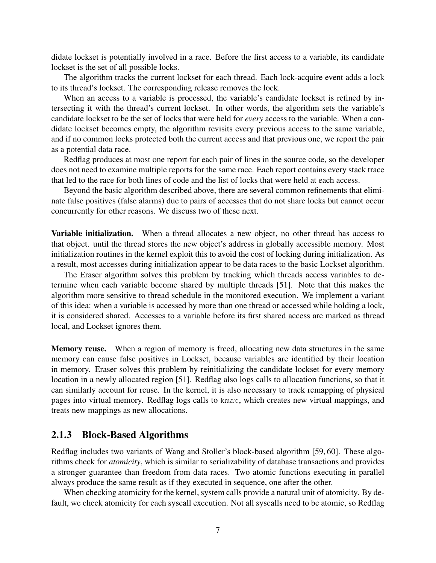didate lockset is potentially involved in a race. Before the first access to a variable, its candidate lockset is the set of all possible locks.

The algorithm tracks the current lockset for each thread. Each lock-acquire event adds a lock to its thread's lockset. The corresponding release removes the lock.

When an access to a variable is processed, the variable's candidate lockset is refined by intersecting it with the thread's current lockset. In other words, the algorithm sets the variable's candidate lockset to be the set of locks that were held for *every* access to the variable. When a candidate lockset becomes empty, the algorithm revisits every previous access to the same variable, and if no common locks protected both the current access and that previous one, we report the pair as a potential data race.

Redflag produces at most one report for each pair of lines in the source code, so the developer does not need to examine multiple reports for the same race. Each report contains every stack trace that led to the race for both lines of code and the list of locks that were held at each access.

Beyond the basic algorithm described above, there are several common refinements that eliminate false positives (false alarms) due to pairs of accesses that do not share locks but cannot occur concurrently for other reasons. We discuss two of these next.

**Variable initialization.** When a thread allocates a new object, no other thread has access to that object. until the thread stores the new object's address in globally accessible memory. Most initialization routines in the kernel exploit this to avoid the cost of locking during initialization. As a result, most accesses during initialization appear to be data races to the basic Lockset algorithm.

The Eraser algorithm solves this problem by tracking which threads access variables to determine when each variable become shared by multiple threads [51]. Note that this makes the algorithm more sensitive to thread schedule in the monitored execution. We implement a variant of this idea: when a variable is accessed by more than one thread or accessed while holding a lock, it is considered shared. Accesses to a variable before its first shared access are marked as thread local, and Lockset ignores them.

Memory reuse. When a region of memory is freed, allocating new data structures in the same memory can cause false positives in Lockset, because variables are identified by their location in memory. Eraser solves this problem by reinitializing the candidate lockset for every memory location in a newly allocated region [51]. Redflag also logs calls to allocation functions, so that it can similarly account for reuse. In the kernel, it is also necessary to track remapping of physical pages into virtual memory. Redflag logs calls to kmap, which creates new virtual mappings, and treats new mappings as new allocations.

### 2.1.3 Block-Based Algorithms

Redflag includes two variants of Wang and Stoller's block-based algorithm [59, 60]. These algorithms check for *atomicity*, which is similar to serializability of database transactions and provides a stronger guarantee than freedom from data races. Two atomic functions executing in parallel always produce the same result as if they executed in sequence, one after the other.

When checking atomicity for the kernel, system calls provide a natural unit of atomicity. By default, we check atomicity for each syscall execution. Not all syscalls need to be atomic, so Redflag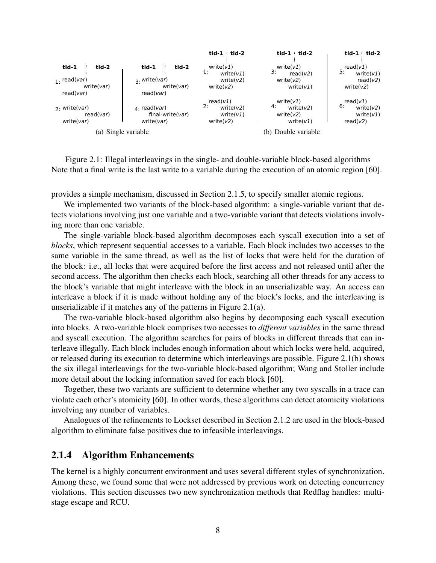

Figure 2.1: Illegal interleavings in the single- and double-variable block-based algorithms Note that a final write is the last write to a variable during the execution of an atomic region [60].

provides a simple mechanism, discussed in Section 2.1.5, to specify smaller atomic regions.

We implemented two variants of the block-based algorithm: a single-variable variant that detects violations involving just one variable and a two-variable variant that detects violations involving more than one variable.

The single-variable block-based algorithm decomposes each syscall execution into a set of *blocks*, which represent sequential accesses to a variable. Each block includes two accesses to the same variable in the same thread, as well as the list of locks that were held for the duration of the block: i.e., all locks that were acquired before the first access and not released until after the second access. The algorithm then checks each block, searching all other threads for any access to the block's variable that might interleave with the block in an unserializable way. An access can interleave a block if it is made without holding any of the block's locks, and the interleaving is unserializable if it matches any of the patterns in Figure 2.1(a).

The two-variable block-based algorithm also begins by decomposing each syscall execution into blocks. A two-variable block comprises two accesses to *different variables* in the same thread and syscall execution. The algorithm searches for pairs of blocks in different threads that can interleave illegally. Each block includes enough information about which locks were held, acquired, or released during its execution to determine which interleavings are possible. Figure 2.1(b) shows the six illegal interleavings for the two-variable block-based algorithm; Wang and Stoller include more detail about the locking information saved for each block [60].

Together, these two variants are sufficient to determine whether any two syscalls in a trace can violate each other's atomicity [60]. In other words, these algorithms can detect atomicity violations involving any number of variables.

Analogues of the refinements to Lockset described in Section 2.1.2 are used in the block-based algorithm to eliminate false positives due to infeasible interleavings.

#### 2.1.4 Algorithm Enhancements

The kernel is a highly concurrent environment and uses several different styles of synchronization. Among these, we found some that were not addressed by previous work on detecting concurrency violations. This section discusses two new synchronization methods that Redflag handles: multistage escape and RCU.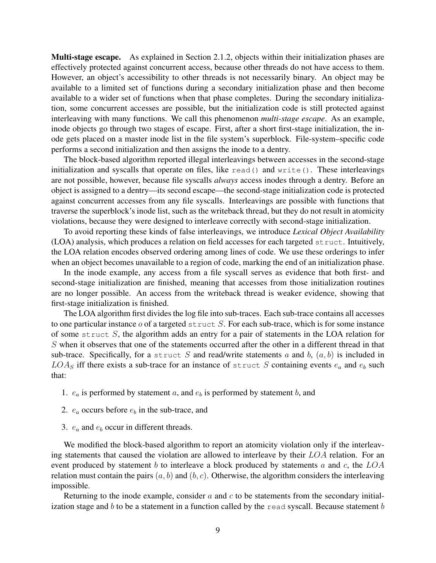Multi-stage escape. As explained in Section 2.1.2, objects within their initialization phases are effectively protected against concurrent access, because other threads do not have access to them. However, an object's accessibility to other threads is not necessarily binary. An object may be available to a limited set of functions during a secondary initialization phase and then become available to a wider set of functions when that phase completes. During the secondary initialization, some concurrent accesses are possible, but the initialization code is still protected against interleaving with many functions. We call this phenomenon *multi-stage escape*. As an example, inode objects go through two stages of escape. First, after a short first-stage initialization, the inode gets placed on a master inode list in the file system's superblock. File-system–specific code performs a second initialization and then assigns the inode to a dentry.

The block-based algorithm reported illegal interleavings between accesses in the second-stage initialization and syscalls that operate on files, like read() and write(). These interleavings are not possible, however, because file syscalls *always* access inodes through a dentry. Before an object is assigned to a dentry—its second escape—the second-stage initialization code is protected against concurrent accesses from any file syscalls. Interleavings are possible with functions that traverse the superblock's inode list, such as the writeback thread, but they do not result in atomicity violations, because they were designed to interleave correctly with second-stage initialization.

To avoid reporting these kinds of false interleavings, we introduce *Lexical Object Availability* (LOA) analysis, which produces a relation on field accesses for each targeted struct. Intuitively, the LOA relation encodes observed ordering among lines of code. We use these orderings to infer when an object becomes unavailable to a region of code, marking the end of an initialization phase.

In the inode example, any access from a file syscall serves as evidence that both first- and second-stage initialization are finished, meaning that accesses from those initialization routines are no longer possible. An access from the writeback thread is weaker evidence, showing that first-stage initialization is finished.

The LOA algorithm first divides the log file into sub-traces. Each sub-trace contains all accesses to one particular instance  $o$  of a targeted  $struct S$ . For each sub-trace, which is for some instance of some struct  $S$ , the algorithm adds an entry for a pair of statements in the LOA relation for  $S$  when it observes that one of the statements occurred after the other in a different thread in that sub-trace. Specifically, for a struct S and read/write statements a and b,  $(a, b)$  is included in  $LOA<sub>S</sub>$  iff there exists a sub-trace for an instance of struct S containing events  $e<sub>a</sub>$  and  $e<sub>b</sub>$  such that:

- 1.  $e_a$  is performed by statement a, and  $e_b$  is performed by statement b, and
- 2.  $e_a$  occurs before  $e_b$  in the sub-trace, and
- 3.  $e_a$  and  $e_b$  occur in different threads.

We modified the block-based algorithm to report an atomicity violation only if the interleaving statements that caused the violation are allowed to interleave by their LOA relation. For an event produced by statement  $b$  to interleave a block produced by statements  $a$  and  $c$ , the  $LOA$ relation must contain the pairs  $(a, b)$  and  $(b, c)$ . Otherwise, the algorithm considers the interleaving impossible.

Returning to the inode example, consider  $a$  and  $c$  to be statements from the secondary initialization stage and  $b$  to be a statement in a function called by the read syscall. Because statement  $b$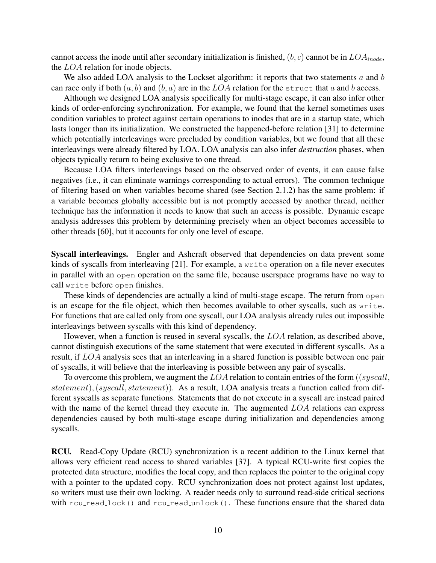cannot access the inode until after secondary initialization is finished,  $(b, c)$  cannot be in  $LOA_{inode}$ , the LOA relation for inode objects.

We also added LOA analysis to the Lockset algorithm: it reports that two statements  $a$  and  $b$ can race only if both  $(a, b)$  and  $(b, a)$  are in the LOA relation for the struct that a and b access.

Although we designed LOA analysis specifically for multi-stage escape, it can also infer other kinds of order-enforcing synchronization. For example, we found that the kernel sometimes uses condition variables to protect against certain operations to inodes that are in a startup state, which lasts longer than its initialization. We constructed the happened-before relation [31] to determine which potentially interleavings were precluded by condition variables, but we found that all these interleavings were already filtered by LOA. LOA analysis can also infer *destruction* phases, when objects typically return to being exclusive to one thread.

Because LOA filters interleavings based on the observed order of events, it can cause false negatives (i.e., it can eliminate warnings corresponding to actual errors). The common technique of filtering based on when variables become shared (see Section 2.1.2) has the same problem: if a variable becomes globally accessible but is not promptly accessed by another thread, neither technique has the information it needs to know that such an access is possible. Dynamic escape analysis addresses this problem by determining precisely when an object becomes accessible to other threads [60], but it accounts for only one level of escape.

Syscall interleavings. Engler and Ashcraft observed that dependencies on data prevent some kinds of syscalls from interleaving [21]. For example, a write operation on a file never executes in parallel with an open operation on the same file, because userspace programs have no way to call write before open finishes.

These kinds of dependencies are actually a kind of multi-stage escape. The return from open is an escape for the file object, which then becomes available to other syscalls, such as write. For functions that are called only from one syscall, our LOA analysis already rules out impossible interleavings between syscalls with this kind of dependency.

However, when a function is reused in several syscalls, the LOA relation, as described above, cannot distinguish executions of the same statement that were executed in different syscalls. As a result, if LOA analysis sees that an interleaving in a shared function is possible between one pair of syscalls, it will believe that the interleaving is possible between any pair of syscalls.

To overcome this problem, we augment the  $LOA$  relation to contain entries of the form ((syscall, statement), (syscall, statement)). As a result, LOA analysis treats a function called from different syscalls as separate functions. Statements that do not execute in a syscall are instead paired with the name of the kernel thread they execute in. The augmented  $LOA$  relations can express dependencies caused by both multi-stage escape during initialization and dependencies among syscalls.

RCU. Read-Copy Update (RCU) synchronization is a recent addition to the Linux kernel that allows very efficient read access to shared variables [37]. A typical RCU-write first copies the protected data structure, modifies the local copy, and then replaces the pointer to the original copy with a pointer to the updated copy. RCU synchronization does not protect against lost updates, so writers must use their own locking. A reader needs only to surround read-side critical sections with rcu read lock() and rcu read unlock(). These functions ensure that the shared data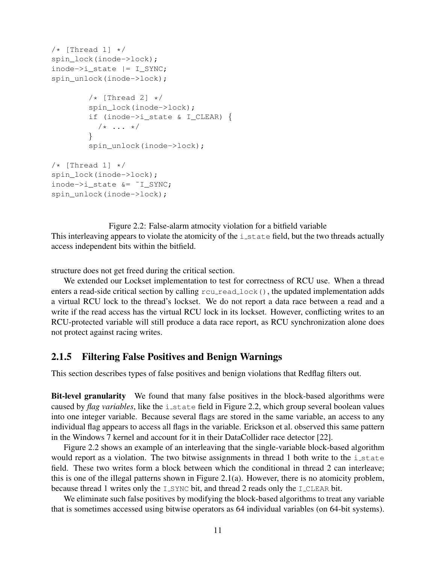```
/* [Thread 1] */spin_lock(inode->lock);
inode->i_state |= I_SYNC;
spin_unlock(inode->lock);
        /* [Thread 2] */spin_lock(inode->lock);
        if (inode->i_state & I_CLEAR) {
         /* \ldots */}
        spin_unlock(inode->lock);
/* [Thread 1] */spin_lock(inode->lock);
inode->i_state &= ˜I_SYNC;
spin_unlock(inode->lock);
```
Figure 2.2: False-alarm atmocity violation for a bitfield variable This interleaving appears to violate the atomicity of the i\_state field, but the two threads actually access independent bits within the bitfield.

structure does not get freed during the critical section.

We extended our Lockset implementation to test for correctness of RCU use. When a thread enters a read-side critical section by calling rcu read lock(), the updated implementation adds a virtual RCU lock to the thread's lockset. We do not report a data race between a read and a write if the read access has the virtual RCU lock in its lockset. However, conflicting writes to an RCU-protected variable will still produce a data race report, as RCU synchronization alone does not protect against racing writes.

#### 2.1.5 Filtering False Positives and Benign Warnings

This section describes types of false positives and benign violations that Redflag filters out.

Bit-level granularity We found that many false positives in the block-based algorithms were caused by *flag variables*, like the i\_state field in Figure 2.2, which group several boolean values into one integer variable. Because several flags are stored in the same variable, an access to any individual flag appears to access all flags in the variable. Erickson et al. observed this same pattern in the Windows 7 kernel and account for it in their DataCollider race detector [22].

Figure 2.2 shows an example of an interleaving that the single-variable block-based algorithm would report as a violation. The two bitwise assignments in thread 1 both write to the  $i$ -state field. These two writes form a block between which the conditional in thread 2 can interleave; this is one of the illegal patterns shown in Figure 2.1(a). However, there is no atomicity problem, because thread 1 writes only the  $I$ -SYNC bit, and thread 2 reads only the  $I$ -CLEAR bit.

We eliminate such false positives by modifying the block-based algorithms to treat any variable that is sometimes accessed using bitwise operators as 64 individual variables (on 64-bit systems).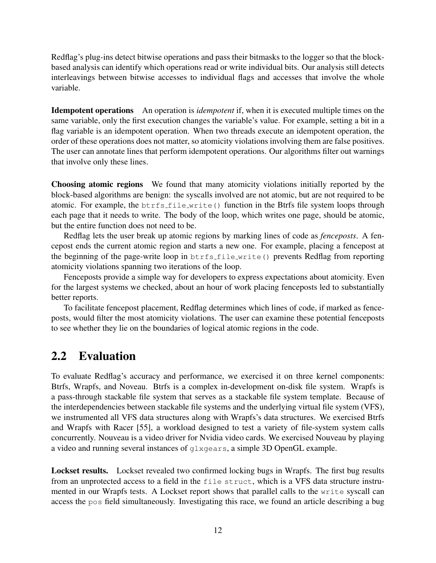Redflag's plug-ins detect bitwise operations and pass their bitmasks to the logger so that the blockbased analysis can identify which operations read or write individual bits. Our analysis still detects interleavings between bitwise accesses to individual flags and accesses that involve the whole variable.

Idempotent operations An operation is *idempotent* if, when it is executed multiple times on the same variable, only the first execution changes the variable's value. For example, setting a bit in a flag variable is an idempotent operation. When two threads execute an idempotent operation, the order of these operations does not matter, so atomicity violations involving them are false positives. The user can annotate lines that perform idempotent operations. Our algorithms filter out warnings that involve only these lines.

Choosing atomic regions We found that many atomicity violations initially reported by the block-based algorithms are benign: the syscalls involved are not atomic, but are not required to be atomic. For example, the btrfs file write() function in the Btrfs file system loops through each page that it needs to write. The body of the loop, which writes one page, should be atomic, but the entire function does not need to be.

Redflag lets the user break up atomic regions by marking lines of code as *fenceposts*. A fencepost ends the current atomic region and starts a new one. For example, placing a fencepost at the beginning of the page-write loop in btrfs file write() prevents Redflag from reporting atomicity violations spanning two iterations of the loop.

Fenceposts provide a simple way for developers to express expectations about atomicity. Even for the largest systems we checked, about an hour of work placing fenceposts led to substantially better reports.

To facilitate fencepost placement, Redflag determines which lines of code, if marked as fenceposts, would filter the most atomicity violations. The user can examine these potential fenceposts to see whether they lie on the boundaries of logical atomic regions in the code.

## 2.2 Evaluation

To evaluate Redflag's accuracy and performance, we exercised it on three kernel components: Btrfs, Wrapfs, and Noveau. Btrfs is a complex in-development on-disk file system. Wrapfs is a pass-through stackable file system that serves as a stackable file system template. Because of the interdependencies between stackable file systems and the underlying virtual file system (VFS), we instrumented all VFS data structures along with Wrapfs's data structures. We exercised Btrfs and Wrapfs with Racer [55], a workload designed to test a variety of file-system system calls concurrently. Nouveau is a video driver for Nvidia video cards. We exercised Nouveau by playing a video and running several instances of glxgears, a simple 3D OpenGL example.

Lockset results. Lockset revealed two confirmed locking bugs in Wrapfs. The first bug results from an unprotected access to a field in the file struct, which is a VFS data structure instrumented in our Wrapfs tests. A Lockset report shows that parallel calls to the write syscall can access the pos field simultaneously. Investigating this race, we found an article describing a bug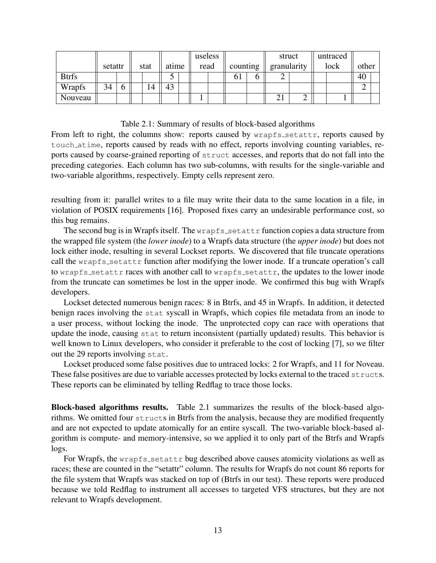|              |         |  |      |       | useless |          | struct      |  | untraced |       |  |
|--------------|---------|--|------|-------|---------|----------|-------------|--|----------|-------|--|
|              | setattr |  | stat | atime | read    | counting | granularity |  | lock     | other |  |
| <b>Btrfs</b> |         |  |      |       |         | Οl       |             |  |          | 40    |  |
| Wrapfs       | 34      |  | 14   | 43    |         |          |             |  |          |       |  |
| Nouveau      |         |  |      |       |         |          |             |  |          |       |  |

#### Table 2.1: Summary of results of block-based algorithms

From left to right, the columns show: reports caused by wrapfs\_setattr, reports caused by touch atime, reports caused by reads with no effect, reports involving counting variables, reports caused by coarse-grained reporting of struct accesses, and reports that do not fall into the preceding categories. Each column has two sub-columns, with results for the single-variable and two-variable algorithms, respectively. Empty cells represent zero.

resulting from it: parallel writes to a file may write their data to the same location in a file, in violation of POSIX requirements [16]. Proposed fixes carry an undesirable performance cost, so this bug remains.

The second bug is in Wrapfs itself. The wrapfs setattr function copies a data structure from the wrapped file system (the *lower inode*) to a Wrapfs data structure (the *upper inode*) but does not lock either inode, resulting in several Lockset reports. We discovered that file truncate operations call the wrapfs setattr function after modifying the lower inode. If a truncate operation's call to wrapfs setattr races with another call to wrapfs setattr, the updates to the lower inode from the truncate can sometimes be lost in the upper inode. We confirmed this bug with Wrapfs developers.

Lockset detected numerous benign races: 8 in Btrfs, and 45 in Wrapfs. In addition, it detected benign races involving the stat syscall in Wrapfs, which copies file metadata from an inode to a user process, without locking the inode. The unprotected copy can race with operations that update the inode, causing stat to return inconsistent (partially updated) results. This behavior is well known to Linux developers, who consider it preferable to the cost of locking [7], so we filter out the 29 reports involving stat.

Lockset produced some false positives due to untraced locks: 2 for Wrapfs, and 11 for Noveau. These false positives are due to variable accesses protected by locks external to the traced structs. These reports can be eliminated by telling Redflag to trace those locks.

Block-based algorithms results. Table 2.1 summarizes the results of the block-based algorithms. We omitted four structs in Btrfs from the analysis, because they are modified frequently and are not expected to update atomically for an entire syscall. The two-variable block-based algorithm is compute- and memory-intensive, so we applied it to only part of the Btrfs and Wrapfs logs.

For Wrapfs, the wrapfs\_setattr bug described above causes atomicity violations as well as races; these are counted in the "setattr" column. The results for Wrapfs do not count 86 reports for the file system that Wrapfs was stacked on top of (Btrfs in our test). These reports were produced because we told Redflag to instrument all accesses to targeted VFS structures, but they are not relevant to Wrapfs development.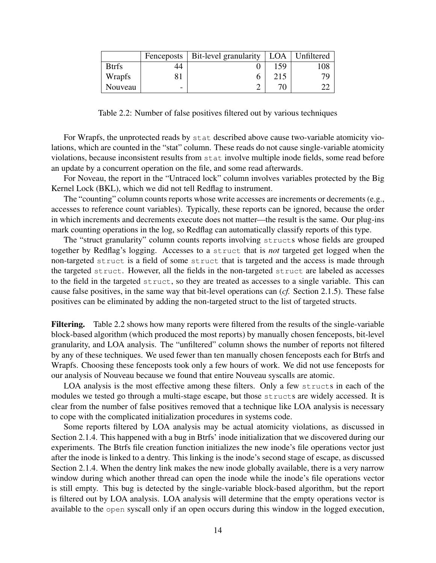|              | Fenceposts               | Bit-level granularity | $^+$ LOA $\,$ | Unfiltered |
|--------------|--------------------------|-----------------------|---------------|------------|
| <b>Btrfs</b> | 44                       |                       | 159           | 108        |
| Wrapfs       |                          |                       | 215           | 70         |
| Nouveau      | $\overline{\phantom{0}}$ |                       | 70            |            |

Table 2.2: Number of false positives filtered out by various techniques

For Wrapfs, the unprotected reads by stat described above cause two-variable atomicity violations, which are counted in the "stat" column. These reads do not cause single-variable atomicity violations, because inconsistent results from stat involve multiple inode fields, some read before an update by a concurrent operation on the file, and some read afterwards.

For Noveau, the report in the "Untraced lock" column involves variables protected by the Big Kernel Lock (BKL), which we did not tell Redflag to instrument.

The "counting" column counts reports whose write accesses are increments or decrements (e.g., accesses to reference count variables). Typically, these reports can be ignored, because the order in which increments and decrements execute does not matter—the result is the same. Our plug-ins mark counting operations in the log, so Redflag can automatically classify reports of this type.

The "struct granularity" column counts reports involving structs whose fields are grouped together by Redflag's logging. Accesses to a struct that is *not* targeted get logged when the non-targeted struct is a field of some struct that is targeted and the access is made through the targeted struct. However, all the fields in the non-targeted struct are labeled as accesses to the field in the targeted struct, so they are treated as accesses to a single variable. This can cause false positives, in the same way that bit-level operations can (*cf.* Section 2.1.5). These false positives can be eliminated by adding the non-targeted struct to the list of targeted structs.

Filtering. Table 2.2 shows how many reports were filtered from the results of the single-variable block-based algorithm (which produced the most reports) by manually chosen fenceposts, bit-level granularity, and LOA analysis. The "unfiltered" column shows the number of reports not filtered by any of these techniques. We used fewer than ten manually chosen fenceposts each for Btrfs and Wrapfs. Choosing these fenceposts took only a few hours of work. We did not use fenceposts for our analysis of Nouveau because we found that entire Nouveau syscalls are atomic.

LOA analysis is the most effective among these filters. Only a few structs in each of the modules we tested go through a multi-stage escape, but those structs are widely accessed. It is clear from the number of false positives removed that a technique like LOA analysis is necessary to cope with the complicated initialization procedures in systems code.

Some reports filtered by LOA analysis may be actual atomicity violations, as discussed in Section 2.1.4. This happened with a bug in Btrfs' inode initialization that we discovered during our experiments. The Btrfs file creation function initializes the new inode's file operations vector just after the inode is linked to a dentry. This linking is the inode's second stage of escape, as discussed Section 2.1.4. When the dentry link makes the new inode globally available, there is a very narrow window during which another thread can open the inode while the inode's file operations vector is still empty. This bug is detected by the single-variable block-based algorithm, but the report is filtered out by LOA analysis. LOA analysis will determine that the empty operations vector is available to the open syscall only if an open occurs during this window in the logged execution,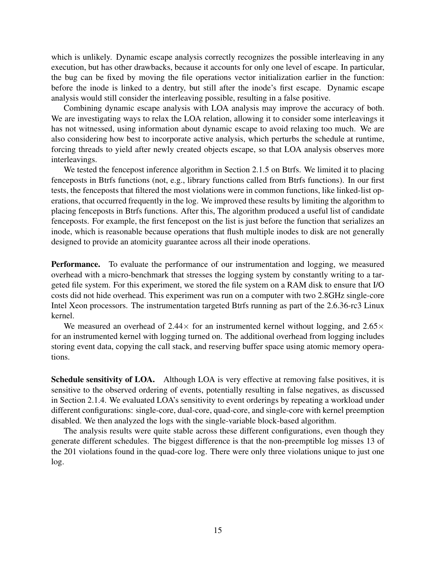which is unlikely. Dynamic escape analysis correctly recognizes the possible interleaving in any execution, but has other drawbacks, because it accounts for only one level of escape. In particular, the bug can be fixed by moving the file operations vector initialization earlier in the function: before the inode is linked to a dentry, but still after the inode's first escape. Dynamic escape analysis would still consider the interleaving possible, resulting in a false positive.

Combining dynamic escape analysis with LOA analysis may improve the accuracy of both. We are investigating ways to relax the LOA relation, allowing it to consider some interleavings it has not witnessed, using information about dynamic escape to avoid relaxing too much. We are also considering how best to incorporate active analysis, which perturbs the schedule at runtime, forcing threads to yield after newly created objects escape, so that LOA analysis observes more interleavings.

We tested the fencepost inference algorithm in Section 2.1.5 on Btrfs. We limited it to placing fenceposts in Btrfs functions (not, e.g., library functions called from Btrfs functions). In our first tests, the fenceposts that filtered the most violations were in common functions, like linked-list operations, that occurred frequently in the log. We improved these results by limiting the algorithm to placing fenceposts in Btrfs functions. After this, The algorithm produced a useful list of candidate fenceposts. For example, the first fencepost on the list is just before the function that serializes an inode, which is reasonable because operations that flush multiple inodes to disk are not generally designed to provide an atomicity guarantee across all their inode operations.

**Performance.** To evaluate the performance of our instrumentation and logging, we measured overhead with a micro-benchmark that stresses the logging system by constantly writing to a targeted file system. For this experiment, we stored the file system on a RAM disk to ensure that I/O costs did not hide overhead. This experiment was run on a computer with two 2.8GHz single-core Intel Xeon processors. The instrumentation targeted Btrfs running as part of the 2.6.36-rc3 Linux kernel.

We measured an overhead of 2.44 $\times$  for an instrumented kernel without logging, and 2.65 $\times$ for an instrumented kernel with logging turned on. The additional overhead from logging includes storing event data, copying the call stack, and reserving buffer space using atomic memory operations.

Schedule sensitivity of LOA. Although LOA is very effective at removing false positives, it is sensitive to the observed ordering of events, potentially resulting in false negatives, as discussed in Section 2.1.4. We evaluated LOA's sensitivity to event orderings by repeating a workload under different configurations: single-core, dual-core, quad-core, and single-core with kernel preemption disabled. We then analyzed the logs with the single-variable block-based algorithm.

The analysis results were quite stable across these different configurations, even though they generate different schedules. The biggest difference is that the non-preemptible log misses 13 of the 201 violations found in the quad-core log. There were only three violations unique to just one log.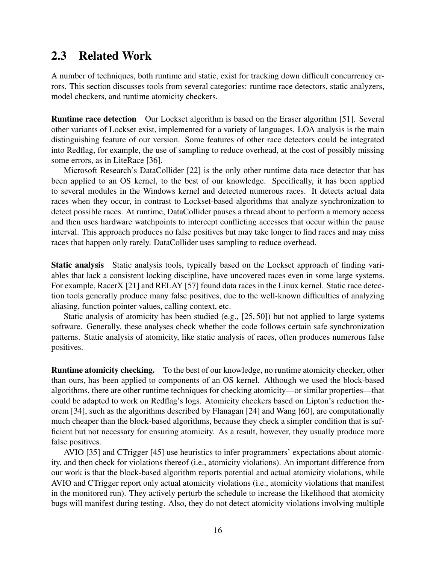## 2.3 Related Work

A number of techniques, both runtime and static, exist for tracking down difficult concurrency errors. This section discusses tools from several categories: runtime race detectors, static analyzers, model checkers, and runtime atomicity checkers.

Runtime race detection Our Lockset algorithm is based on the Eraser algorithm [51]. Several other variants of Lockset exist, implemented for a variety of languages. LOA analysis is the main distinguishing feature of our version. Some features of other race detectors could be integrated into Redflag, for example, the use of sampling to reduce overhead, at the cost of possibly missing some errors, as in LiteRace [36].

Microsoft Research's DataCollider [22] is the only other runtime data race detector that has been applied to an OS kernel, to the best of our knowledge. Specifically, it has been applied to several modules in the Windows kernel and detected numerous races. It detects actual data races when they occur, in contrast to Lockset-based algorithms that analyze synchronization to detect possible races. At runtime, DataCollider pauses a thread about to perform a memory access and then uses hardware watchpoints to intercept conflicting accesses that occur within the pause interval. This approach produces no false positives but may take longer to find races and may miss races that happen only rarely. DataCollider uses sampling to reduce overhead.

Static analysis Static analysis tools, typically based on the Lockset approach of finding variables that lack a consistent locking discipline, have uncovered races even in some large systems. For example, RacerX [21] and RELAY [57] found data races in the Linux kernel. Static race detection tools generally produce many false positives, due to the well-known difficulties of analyzing aliasing, function pointer values, calling context, etc.

Static analysis of atomicity has been studied (e.g., [25, 50]) but not applied to large systems software. Generally, these analyses check whether the code follows certain safe synchronization patterns. Static analysis of atomicity, like static analysis of races, often produces numerous false positives.

Runtime atomicity checking. To the best of our knowledge, no runtime atomicity checker, other than ours, has been applied to components of an OS kernel. Although we used the block-based algorithms, there are other runtime techniques for checking atomicity—or similar properties—that could be adapted to work on Redflag's logs. Atomicity checkers based on Lipton's reduction theorem [34], such as the algorithms described by Flanagan [24] and Wang [60], are computationally much cheaper than the block-based algorithms, because they check a simpler condition that is sufficient but not necessary for ensuring atomicity. As a result, however, they usually produce more false positives.

AVIO [35] and CTrigger [45] use heuristics to infer programmers' expectations about atomicity, and then check for violations thereof (i.e., atomicity violations). An important difference from our work is that the block-based algorithm reports potential and actual atomicity violations, while AVIO and CTrigger report only actual atomicity violations (i.e., atomicity violations that manifest in the monitored run). They actively perturb the schedule to increase the likelihood that atomicity bugs will manifest during testing. Also, they do not detect atomicity violations involving multiple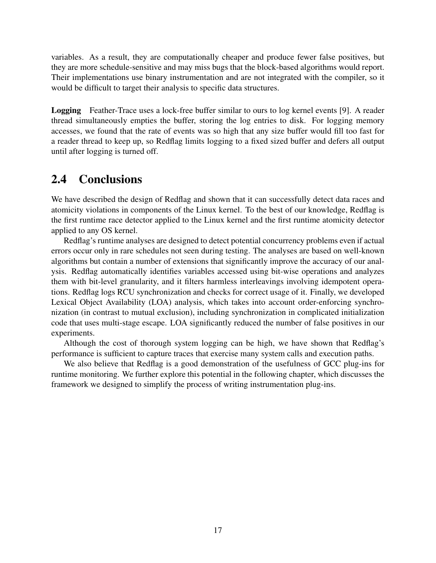variables. As a result, they are computationally cheaper and produce fewer false positives, but they are more schedule-sensitive and may miss bugs that the block-based algorithms would report. Their implementations use binary instrumentation and are not integrated with the compiler, so it would be difficult to target their analysis to specific data structures.

Logging Feather-Trace uses a lock-free buffer similar to ours to log kernel events [9]. A reader thread simultaneously empties the buffer, storing the log entries to disk. For logging memory accesses, we found that the rate of events was so high that any size buffer would fill too fast for a reader thread to keep up, so Redflag limits logging to a fixed sized buffer and defers all output until after logging is turned off.

## 2.4 Conclusions

We have described the design of Redflag and shown that it can successfully detect data races and atomicity violations in components of the Linux kernel. To the best of our knowledge, Redflag is the first runtime race detector applied to the Linux kernel and the first runtime atomicity detector applied to any OS kernel.

Redflag's runtime analyses are designed to detect potential concurrency problems even if actual errors occur only in rare schedules not seen during testing. The analyses are based on well-known algorithms but contain a number of extensions that significantly improve the accuracy of our analysis. Redflag automatically identifies variables accessed using bit-wise operations and analyzes them with bit-level granularity, and it filters harmless interleavings involving idempotent operations. Redflag logs RCU synchronization and checks for correct usage of it. Finally, we developed Lexical Object Availability (LOA) analysis, which takes into account order-enforcing synchronization (in contrast to mutual exclusion), including synchronization in complicated initialization code that uses multi-stage escape. LOA significantly reduced the number of false positives in our experiments.

Although the cost of thorough system logging can be high, we have shown that Redflag's performance is sufficient to capture traces that exercise many system calls and execution paths.

We also believe that Redflag is a good demonstration of the usefulness of GCC plug-ins for runtime monitoring. We further explore this potential in the following chapter, which discusses the framework we designed to simplify the process of writing instrumentation plug-ins.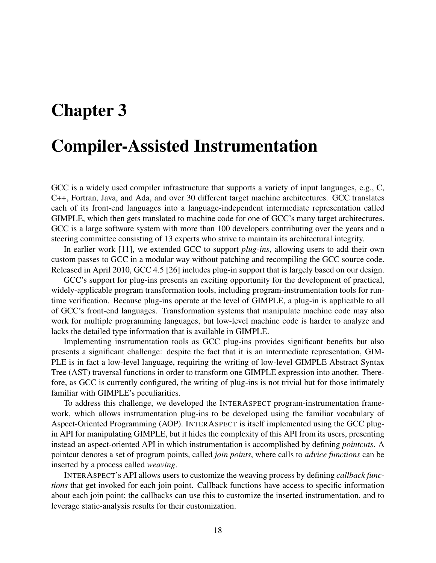## Chapter 3

## Compiler-Assisted Instrumentation

GCC is a widely used compiler infrastructure that supports a variety of input languages, e.g., C, C++, Fortran, Java, and Ada, and over 30 different target machine architectures. GCC translates each of its front-end languages into a language-independent intermediate representation called GIMPLE, which then gets translated to machine code for one of GCC's many target architectures. GCC is a large software system with more than 100 developers contributing over the years and a steering committee consisting of 13 experts who strive to maintain its architectural integrity.

In earlier work [11], we extended GCC to support *plug-ins*, allowing users to add their own custom passes to GCC in a modular way without patching and recompiling the GCC source code. Released in April 2010, GCC 4.5 [26] includes plug-in support that is largely based on our design.

GCC's support for plug-ins presents an exciting opportunity for the development of practical, widely-applicable program transformation tools, including program-instrumentation tools for runtime verification. Because plug-ins operate at the level of GIMPLE, a plug-in is applicable to all of GCC's front-end languages. Transformation systems that manipulate machine code may also work for multiple programming languages, but low-level machine code is harder to analyze and lacks the detailed type information that is available in GIMPLE.

Implementing instrumentation tools as GCC plug-ins provides significant benefits but also presents a significant challenge: despite the fact that it is an intermediate representation, GIM-PLE is in fact a low-level language, requiring the writing of low-level GIMPLE Abstract Syntax Tree (AST) traversal functions in order to transform one GIMPLE expression into another. Therefore, as GCC is currently configured, the writing of plug-ins is not trivial but for those intimately familiar with GIMPLE's peculiarities.

To address this challenge, we developed the INTERASPECT program-instrumentation framework, which allows instrumentation plug-ins to be developed using the familiar vocabulary of Aspect-Oriented Programming (AOP). INTERASPECT is itself implemented using the GCC plugin API for manipulating GIMPLE, but it hides the complexity of this API from its users, presenting instead an aspect-oriented API in which instrumentation is accomplished by defining *pointcuts*. A pointcut denotes a set of program points, called *join points*, where calls to *advice functions* can be inserted by a process called *weaving*.

INTERASPECT's API allows users to customize the weaving process by defining *callback functions* that get invoked for each join point. Callback functions have access to specific information about each join point; the callbacks can use this to customize the inserted instrumentation, and to leverage static-analysis results for their customization.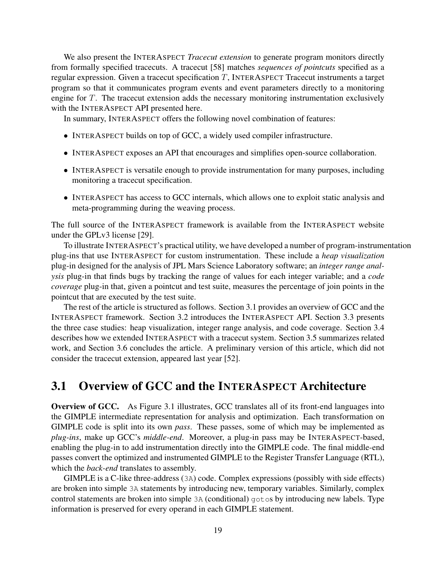We also present the INTERASPECT *Tracecut extension* to generate program monitors directly from formally specified tracecuts. A tracecut [58] matches *sequences of pointcuts* specified as a regular expression. Given a tracecut specification  $T$ , INTERASPECT Tracecut instruments a target program so that it communicates program events and event parameters directly to a monitoring engine for T. The tracecut extension adds the necessary monitoring instrumentation exclusively with the INTERASPECT API presented here.

In summary, INTERASPECT offers the following novel combination of features:

- INTERASPECT builds on top of GCC, a widely used compiler infrastructure.
- INTERASPECT exposes an API that encourages and simplifies open-source collaboration.
- INTERASPECT is versatile enough to provide instrumentation for many purposes, including monitoring a tracecut specification.
- INTERASPECT has access to GCC internals, which allows one to exploit static analysis and meta-programming during the weaving process.

The full source of the INTERASPECT framework is available from the INTERASPECT website under the GPLv3 license [29].

To illustrate INTERASPECT's practical utility, we have developed a number of program-instrumentation plug-ins that use INTERASPECT for custom instrumentation. These include a *heap visualization* plug-in designed for the analysis of JPL Mars Science Laboratory software; an *integer range analysis* plug-in that finds bugs by tracking the range of values for each integer variable; and a *code coverage* plug-in that, given a pointcut and test suite, measures the percentage of join points in the pointcut that are executed by the test suite.

The rest of the article is structured as follows. Section 3.1 provides an overview of GCC and the INTERASPECT framework. Section 3.2 introduces the INTERASPECT API. Section 3.3 presents the three case studies: heap visualization, integer range analysis, and code coverage. Section 3.4 describes how we extended INTERASPECT with a tracecut system. Section 3.5 summarizes related work, and Section 3.6 concludes the article. A preliminary version of this article, which did not consider the tracecut extension, appeared last year [52].

## 3.1 Overview of GCC and the INTERASPECT Architecture

Overview of GCC. As Figure 3.1 illustrates, GCC translates all of its front-end languages into the GIMPLE intermediate representation for analysis and optimization. Each transformation on GIMPLE code is split into its own *pass*. These passes, some of which may be implemented as *plug-ins*, make up GCC's *middle-end*. Moreover, a plug-in pass may be INTERASPECT-based, enabling the plug-in to add instrumentation directly into the GIMPLE code. The final middle-end passes convert the optimized and instrumented GIMPLE to the Register Transfer Language (RTL), which the *back-end* translates to assembly.

GIMPLE is a C-like three-address (3A) code. Complex expressions (possibly with side effects) are broken into simple 3A statements by introducing new, temporary variables. Similarly, complex control statements are broken into simple 3A (conditional) gotos by introducing new labels. Type information is preserved for every operand in each GIMPLE statement.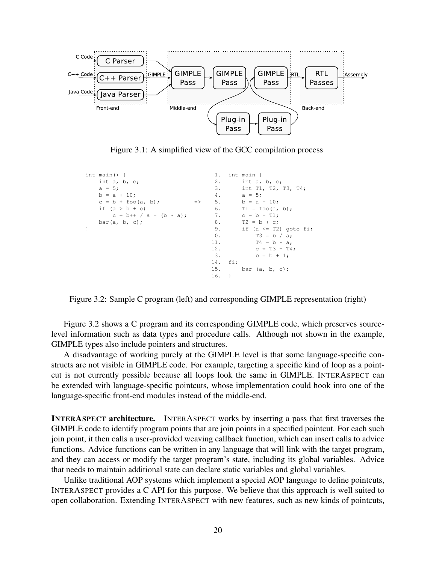

Figure 3.1: A simplified view of the GCC compilation process

```
int \text{ main}() { 1. int main {
   int a, b, c; 2. int a, b, c;
   a = 5; 3. int T1, T2, T3, T4;
   b = a + 10;<br>
c = b + f \circ (a, b);<br>
c = b + f \circ (a, b);<br>
d = 5;<br>
b = a + 10;<br>
e = 5;<br>
f = 10;c = b + foo(a, b); => 5.
   if (a > b + c) 6. T1 = foo(a, b);
      c = b++ / a + (b * a);<br>(a, b, c);<br>8. T2 = b + c;
   bar(a, b, c);
} 9. if (a <= T2) goto fi;
                              10. T3 = b / a;11. T4 = b * a;<br>12. C = T3 + T4c = T3 + T4;13. b = b + 1;
                              14. fi:
                              15. bar (a, b, c);
                              16. }
```
Figure 3.2: Sample C program (left) and corresponding GIMPLE representation (right)

Figure 3.2 shows a C program and its corresponding GIMPLE code, which preserves sourcelevel information such as data types and procedure calls. Although not shown in the example, GIMPLE types also include pointers and structures.

A disadvantage of working purely at the GIMPLE level is that some language-specific constructs are not visible in GIMPLE code. For example, targeting a specific kind of loop as a pointcut is not currently possible because all loops look the same in GIMPLE. INTERASPECT can be extended with language-specific pointcuts, whose implementation could hook into one of the language-specific front-end modules instead of the middle-end.

INTERASPECT architecture. INTERASPECT works by inserting a pass that first traverses the GIMPLE code to identify program points that are join points in a specified pointcut. For each such join point, it then calls a user-provided weaving callback function, which can insert calls to advice functions. Advice functions can be written in any language that will link with the target program, and they can access or modify the target program's state, including its global variables. Advice that needs to maintain additional state can declare static variables and global variables.

Unlike traditional AOP systems which implement a special AOP language to define pointcuts, INTERASPECT provides a C API for this purpose. We believe that this approach is well suited to open collaboration. Extending INTERASPECT with new features, such as new kinds of pointcuts,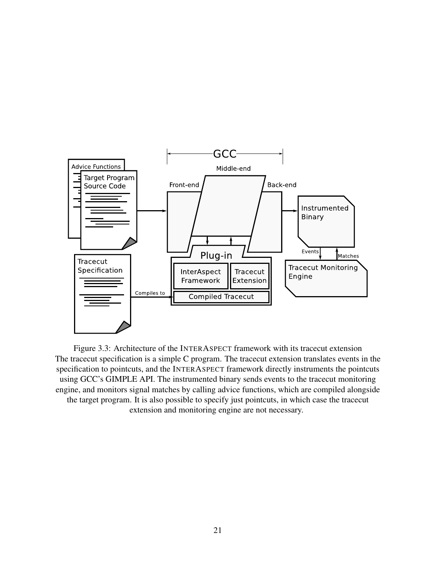

Figure 3.3: Architecture of the INTERASPECT framework with its tracecut extension The tracecut specification is a simple C program. The tracecut extension translates events in the specification to pointcuts, and the INTERASPECT framework directly instruments the pointcuts using GCC's GIMPLE API. The instrumented binary sends events to the tracecut monitoring engine, and monitors signal matches by calling advice functions, which are compiled alongside the target program. It is also possible to specify just pointcuts, in which case the tracecut extension and monitoring engine are not necessary.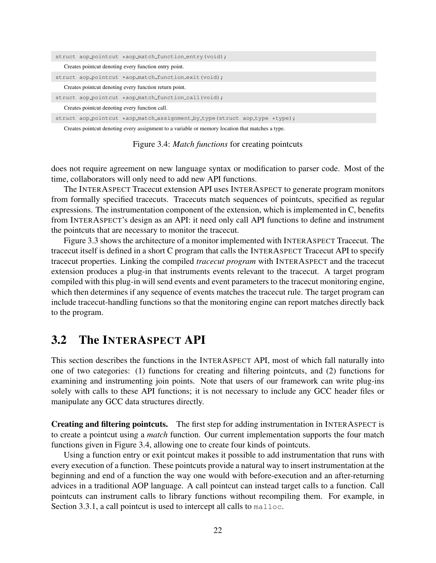| struct aop_pointcut $*a$ op_match_function_entry(void);                                          |
|--------------------------------------------------------------------------------------------------|
| Creates point tule denoting every function entry point.                                          |
| struct aop_pointcut *aop_match_function_exit(void);                                              |
| Creates point tule denoting every function return point.                                         |
| struct aop_pointcut *aop_match_function_call(void);                                              |
| Creates point cut denoting every function call.                                                  |
| struct aop_pointcut *aop_match_assignment_by_type(struct aop_type *type);                        |
| Creates point ut denoting every assignment to a variable or memory location that matches a type. |

Figure 3.4: *Match functions* for creating pointcuts

does not require agreement on new language syntax or modification to parser code. Most of the time, collaborators will only need to add new API functions.

The INTERASPECT Tracecut extension API uses INTERASPECT to generate program monitors from formally specified tracecuts. Tracecuts match sequences of pointcuts, specified as regular expressions. The instrumentation component of the extension, which is implemented in C, benefits from INTERASPECT's design as an API: it need only call API functions to define and instrument the pointcuts that are necessary to monitor the tracecut.

Figure 3.3 shows the architecture of a monitor implemented with INTERASPECT Tracecut. The tracecut itself is defined in a short C program that calls the INTERASPECT Tracecut API to specify tracecut properties. Linking the compiled *tracecut program* with INTERASPECT and the tracecut extension produces a plug-in that instruments events relevant to the tracecut. A target program compiled with this plug-in will send events and event parameters to the tracecut monitoring engine, which then determines if any sequence of events matches the tracecut rule. The target program can include tracecut-handling functions so that the monitoring engine can report matches directly back to the program.

## 3.2 The INTERASPECT API

This section describes the functions in the INTERASPECT API, most of which fall naturally into one of two categories: (1) functions for creating and filtering pointcuts, and (2) functions for examining and instrumenting join points. Note that users of our framework can write plug-ins solely with calls to these API functions; it is not necessary to include any GCC header files or manipulate any GCC data structures directly.

Creating and filtering pointcuts. The first step for adding instrumentation in INTERASPECT is to create a pointcut using a *match* function. Our current implementation supports the four match functions given in Figure 3.4, allowing one to create four kinds of pointcuts.

Using a function entry or exit pointcut makes it possible to add instrumentation that runs with every execution of a function. These pointcuts provide a natural way to insert instrumentation at the beginning and end of a function the way one would with before-execution and an after-returning advices in a traditional AOP language. A call pointcut can instead target calls to a function. Call pointcuts can instrument calls to library functions without recompiling them. For example, in Section 3.3.1, a call pointcut is used to intercept all calls to malloc.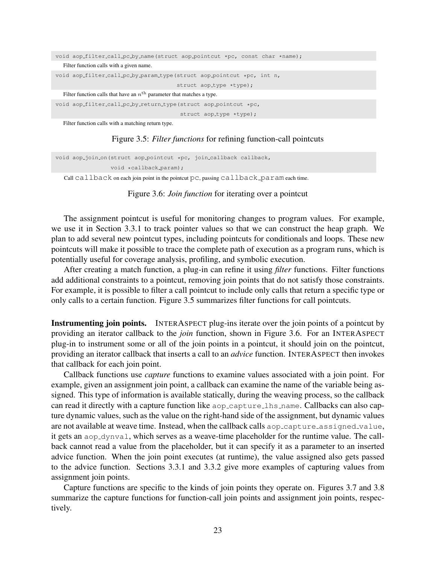```
void aop_filter_call_pc_by_name(struct aop_pointcut *pc, const char *name);
   Filter function calls with a given name.
void aop filter call pc by param type(struct aop pointcut *pc, int n,
                                           struct aop_type *type);
   Filter function calls that have an n<sup>th</sup> parameter that matches a type.
void aop_filter_call_pc_by_return_type(struct aop_pointcut *pc,
                                             struct aop_type *type);
   Filter function calls with a matching return type.
```
Figure 3.5: *Filter functions* for refining function-call pointcuts

void aop-join on (struct aop-pointcut \*pc, join callback callback, void \*callback param);

Call callback on each join point in the pointcut pc, passing callback param each time.

Figure 3.6: *Join function* for iterating over a pointcut

The assignment pointcut is useful for monitoring changes to program values. For example, we use it in Section 3.3.1 to track pointer values so that we can construct the heap graph. We plan to add several new pointcut types, including pointcuts for conditionals and loops. These new pointcuts will make it possible to trace the complete path of execution as a program runs, which is potentially useful for coverage analysis, profiling, and symbolic execution.

After creating a match function, a plug-in can refine it using *filter* functions. Filter functions add additional constraints to a pointcut, removing join points that do not satisfy those constraints. For example, it is possible to filter a call pointcut to include only calls that return a specific type or only calls to a certain function. Figure 3.5 summarizes filter functions for call pointcuts.

Instrumenting join points. INTERASPECT plug-ins iterate over the join points of a pointcut by providing an iterator callback to the *join* function, shown in Figure 3.6. For an INTERASPECT plug-in to instrument some or all of the join points in a pointcut, it should join on the pointcut, providing an iterator callback that inserts a call to an *advice* function. INTERASPECT then invokes that callback for each join point.

Callback functions use *capture* functions to examine values associated with a join point. For example, given an assignment join point, a callback can examine the name of the variable being assigned. This type of information is available statically, during the weaving process, so the callback can read it directly with a capture function like aop\_capture\_lhs\_name. Callbacks can also capture dynamic values, such as the value on the right-hand side of the assignment, but dynamic values are not available at weave time. Instead, when the callback calls aop\_capture\_assigned\_value, it gets an aop\_dynval, which serves as a weave-time placeholder for the runtime value. The callback cannot read a value from the placeholder, but it can specify it as a parameter to an inserted advice function. When the join point executes (at runtime), the value assigned also gets passed to the advice function. Sections 3.3.1 and 3.3.2 give more examples of capturing values from assignment join points.

Capture functions are specific to the kinds of join points they operate on. Figures 3.7 and 3.8 summarize the capture functions for function-call join points and assignment join points, respectively.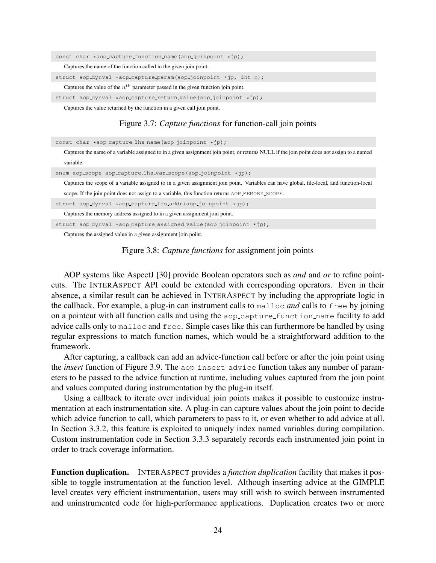const char \*aop\_capture\_function\_name(aop\_joinpoint \*jp);

Captures the name of the function called in the given join point.

struct aop\_dynval \*aop\_capture\_param(aop\_joinpoint \*jp, int n);

Captures the value of the  $n<sup>th</sup>$  parameter passed in the given function join point.

struct aop\_dynval \*aop\_capture\_return\_value(aop\_joinpoint \*jp);

Captures the value returned by the function in a given call join point.

#### Figure 3.7: *Capture functions* for function-call join points

| const char *aop_capture_lhs_name(aop_joinpoint *jp);                                                                                       |
|--------------------------------------------------------------------------------------------------------------------------------------------|
| Captures the name of a variable assigned to in a given assignment join point, or returns NULL if the join point does not assign to a named |
| variable.                                                                                                                                  |
| enum aop_scope aop_capture_lhs_var_scope(aop_joinpoint $\star$ jp);                                                                        |
| Captures the scope of a variable assigned to in a given assignment join point. Variables can have global, file-local, and function-local   |
| scope. If the join point does not assign to a variable, this function returns AOP_MEMORY_SCOPE.                                            |
| struct aop_dynval *aop_capture_lhs_addr(aop_joinpoint *jp);                                                                                |
| Captures the memory address assigned to in a given assignment join point.                                                                  |
| struct aop_dynval *aop_capture_assigned_value(aop_joinpoint *jp);                                                                          |
| Captures the assigned value in a given assignment join point.                                                                              |

Figure 3.8: *Capture functions* for assignment join points

AOP systems like AspectJ [30] provide Boolean operators such as *and* and *or* to refine pointcuts. The INTERASPECT API could be extended with corresponding operators. Even in their absence, a similar result can be achieved in INTERASPECT by including the appropriate logic in the callback. For example, a plug-in can instrument calls to malloc *and* calls to free by joining on a pointcut with all function calls and using the aop\_capture\_function\_name facility to add advice calls only to malloc and free. Simple cases like this can furthermore be handled by using regular expressions to match function names, which would be a straightforward addition to the framework.

After capturing, a callback can add an advice-function call before or after the join point using the *insert* function of Figure 3.9. The aop\_insert\_advice function takes any number of parameters to be passed to the advice function at runtime, including values captured from the join point and values computed during instrumentation by the plug-in itself.

Using a callback to iterate over individual join points makes it possible to customize instrumentation at each instrumentation site. A plug-in can capture values about the join point to decide which advice function to call, which parameters to pass to it, or even whether to add advice at all. In Section 3.3.2, this feature is exploited to uniquely index named variables during compilation. Custom instrumentation code in Section 3.3.3 separately records each instrumented join point in order to track coverage information.

Function duplication. INTERASPECT provides a *function duplication* facility that makes it possible to toggle instrumentation at the function level. Although inserting advice at the GIMPLE level creates very efficient instrumentation, users may still wish to switch between instrumented and uninstrumented code for high-performance applications. Duplication creates two or more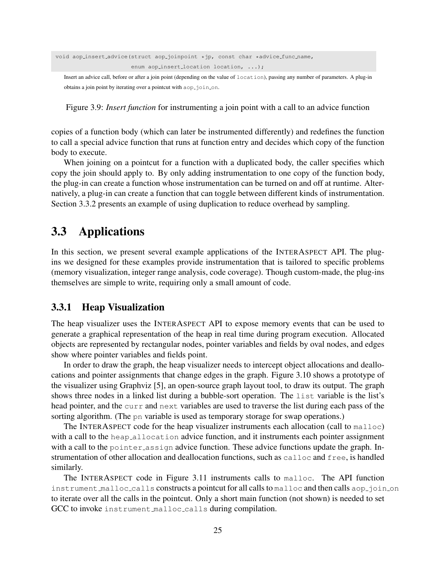```
void aop_insert_advice(struct aop_joinpoint \starjp, const char \staradvice_func_name,
                        enum aop_insert_location location, ...);
```
Insert an advice call, before or after a join point (depending on the value of location), passing any number of parameters. A plug-in obtains a join point by iterating over a pointcut with aop-join-on.

Figure 3.9: *Insert function* for instrumenting a join point with a call to an advice function

copies of a function body (which can later be instrumented differently) and redefines the function to call a special advice function that runs at function entry and decides which copy of the function body to execute.

When joining on a pointcut for a function with a duplicated body, the caller specifies which copy the join should apply to. By only adding instrumentation to one copy of the function body, the plug-in can create a function whose instrumentation can be turned on and off at runtime. Alternatively, a plug-in can create a function that can toggle between different kinds of instrumentation. Section 3.3.2 presents an example of using duplication to reduce overhead by sampling.

## 3.3 Applications

In this section, we present several example applications of the INTERASPECT API. The plugins we designed for these examples provide instrumentation that is tailored to specific problems (memory visualization, integer range analysis, code coverage). Though custom-made, the plug-ins themselves are simple to write, requiring only a small amount of code.

#### 3.3.1 Heap Visualization

The heap visualizer uses the INTERASPECT API to expose memory events that can be used to generate a graphical representation of the heap in real time during program execution. Allocated objects are represented by rectangular nodes, pointer variables and fields by oval nodes, and edges show where pointer variables and fields point.

In order to draw the graph, the heap visualizer needs to intercept object allocations and deallocations and pointer assignments that change edges in the graph. Figure 3.10 shows a prototype of the visualizer using Graphviz [5], an open-source graph layout tool, to draw its output. The graph shows three nodes in a linked list during a bubble-sort operation. The list variable is the list's head pointer, and the curr and next variables are used to traverse the list during each pass of the sorting algorithm. (The pn variable is used as temporary storage for swap operations.)

The INTERASPECT code for the heap visualizer instruments each allocation (call to malloc) with a call to the heap allocation advice function, and it instruments each pointer assignment with a call to the pointer assign advice function. These advice functions update the graph. Instrumentation of other allocation and deallocation functions, such as calloc and free, is handled similarly.

The INTERASPECT code in Figure 3.11 instruments calls to malloc. The API function instrument malloc calls constructs a pointcut for all calls to malloc and then calls aop join on to iterate over all the calls in the pointcut. Only a short main function (not shown) is needed to set GCC to invoke instrument malloc calls during compilation.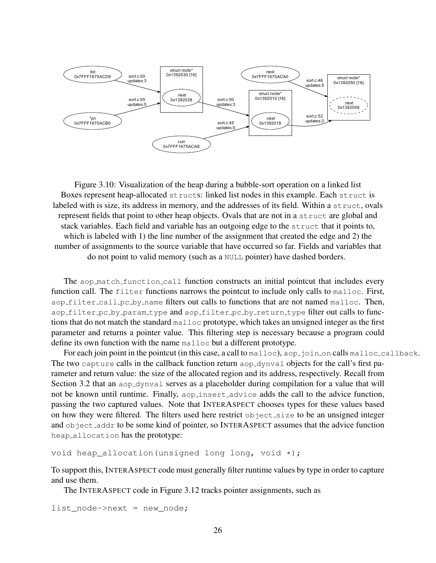

Figure 3.10: Visualization of the heap during a bubble-sort operation on a linked list Boxes represent heap-allocated structs: linked list nodes in this example. Each struct is labeled with is size, its address in memory, and the addresses of its field. Within a  $struct$ , ovals represent fields that point to other heap objects. Ovals that are not in a struct are global and stack variables. Each field and variable has an outgoing edge to the struct that it points to, which is labeled with 1) the line number of the assignment that created the edge and 2) the number of assignments to the source variable that have occurred so far. Fields and variables that do not point to valid memory (such as a NULL pointer) have dashed borders.

The aop\_match\_function\_call function constructs an initial pointcut that includes every function call. The filter functions narrows the pointcut to include only calls to malloc. First, aop filter call pc by name filters out calls to functions that are not named malloc. Then, aop filter pc by param type and aop filter pc by return type filter out calls to functions that do not match the standard malloc prototype, which takes an unsigned integer as the first parameter and returns a pointer value. This filtering step is necessary because a program could define its own function with the name malloc but a different prototype.

For each join point in the pointcut (in this case, a call to  $\text{malloc}$ ), aop-join-on calls malloc-callback. The two capture calls in the callback function return aop\_dynval objects for the call's first parameter and return value: the size of the allocated region and its address, respectively. Recall from Section 3.2 that an app dynval serves as a placeholder during compilation for a value that will not be known until runtime. Finally, aop insert advice adds the call to the advice function, passing the two captured values. Note that INTERASPECT chooses types for these values based on how they were filtered. The filters used here restrict object size to be an unsigned integer and object addr to be some kind of pointer, so INTERASPECT assumes that the advice function heap allocation has the prototype:

```
void heap_allocation(unsigned long long, void \star);
```
To support this, INTERASPECT code must generally filter runtime values by type in order to capture and use them.

The INTERASPECT code in Figure 3.12 tracks pointer assignments, such as

 $list_model->next = new-node;$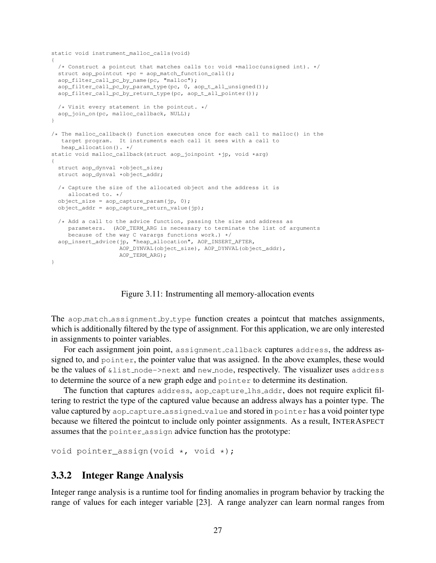```
static void instrument malloc calls(void)
{
  /* Construct a pointcut that matches calls to: void *malloc(unsigned int). */
 struct aop_pointcut *pc = aop_match_function_call();
 aop_filter_call_pc_by_name(pc, "malloc");
 aop_filter_call_pc_by_param_type(pc, 0, aop_t_all_unsigned());
 aop_filter_call_pc_by_return_type(pc, aop_t_all_pointer());
 /* Visit every statement in the pointcut. */aop_join_on(pc, malloc_callback, NULL);
}
/* The malloc callback() function executes once for each call to malloc() in the
  target program. It instruments each call it sees with a call to
  heap_allocation(). */
static void malloc callback (struct aop joinpoint *jp, void *arg)
{
 struct aop_dynval *object_size;
 struct aop_dynval *object_addr;
 /* Capture the size of the allocated object and the address it is
    allocated to. */
 object_size = aop_capture_param(jp, 0);
 object\_addr = aop\_capture\_return\_value(jp);/* Add a call to the advice function, passing the size and address as
    parameters. (AOP_TERM_ARG is necessary to terminate the list of arguments
    because of the way C varargs functions work.) */aop_insert_advice(jp, "heap_allocation", AOP_INSERT_AFTER,
                   AOP_DYNVAL(object_size), AOP_DYNVAL(object_addr),
                   AOP_TERM_ARG);
}
```
Figure 3.11: Instrumenting all memory-allocation events

The aop match assignment by type function creates a pointcut that matches assignments, which is additionally filtered by the type of assignment. For this application, we are only interested in assignments to pointer variables.

For each assignment join point, assignment callback captures address, the address assigned to, and pointer, the pointer value that was assigned. In the above examples, these would be the values of &list node->next and new node, respectively. The visualizer uses address to determine the source of a new graph edge and  $\phi$  inter to determine its destination.

The function that captures address, aop capture lhs addr, does not require explicit filtering to restrict the type of the captured value because an address always has a pointer type. The value captured by aop capture assigned value and stored in pointer has a void pointer type because we filtered the pointcut to include only pointer assignments. As a result, INTERASPECT assumes that the pointer assign advice function has the prototype:

```
void pointer_assign(void *, void *);
```
#### 3.3.2 Integer Range Analysis

Integer range analysis is a runtime tool for finding anomalies in program behavior by tracking the range of values for each integer variable [23]. A range analyzer can learn normal ranges from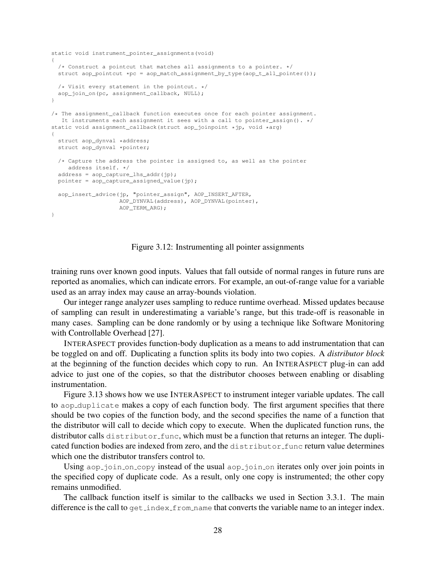```
static void instrument_pointer_assignments(void)
{
  /* Construct a pointcut that matches all assignments to a pointer. */
 struct aop_pointcut *pc = aop_match_assignment_by_type(aop_t_all_pointer());
 /* Visit every statement in the pointcut. */aop_join_on(pc, assignment_callback, NULL);
}
/* The assignment_callback function executes once for each pointer assignment.
  It instruments each assignment it sees with a call to pointer_assign(). */static void assignment_callback(struct aop_joinpoint *jp, void *arg)
{
 struct aop_dynval *address;
 struct aop_dynval *pointer;
 /* Capture the address the pointer is assigned to, as well as the pointer
    address itself. */
  address = aop_capture_lhs_addr(jp);
 pointer = aop_capture_assigned_value(jp);
 aop_insert_advice(jp, "pointer_assign", AOP_INSERT_AFTER,
                  AOP_DYNVAL(address), AOP_DYNVAL(pointer),
                   AOP_TERM_ARG);
}
```


training runs over known good inputs. Values that fall outside of normal ranges in future runs are reported as anomalies, which can indicate errors. For example, an out-of-range value for a variable used as an array index may cause an array-bounds violation.

Our integer range analyzer uses sampling to reduce runtime overhead. Missed updates because of sampling can result in underestimating a variable's range, but this trade-off is reasonable in many cases. Sampling can be done randomly or by using a technique like Software Monitoring with Controllable Overhead [27].

INTERASPECT provides function-body duplication as a means to add instrumentation that can be toggled on and off. Duplicating a function splits its body into two copies. A *distributor block* at the beginning of the function decides which copy to run. An INTERASPECT plug-in can add advice to just one of the copies, so that the distributor chooses between enabling or disabling instrumentation.

Figure 3.13 shows how we use INTERASPECT to instrument integer variable updates. The call to aop duplicate makes a copy of each function body. The first argument specifies that there should be two copies of the function body, and the second specifies the name of a function that the distributor will call to decide which copy to execute. When the duplicated function runs, the distributor calls distributor func, which must be a function that returns an integer. The duplicated function bodies are indexed from zero, and the distributor func return value determines which one the distributor transfers control to.

Using aop-join-on-copy instead of the usual aop-join-on iterates only over join points in the specified copy of duplicate code. As a result, only one copy is instrumented; the other copy remains unmodified.

The callback function itself is similar to the callbacks we used in Section 3.3.1. The main difference is the call to get index from name that converts the variable name to an integer index.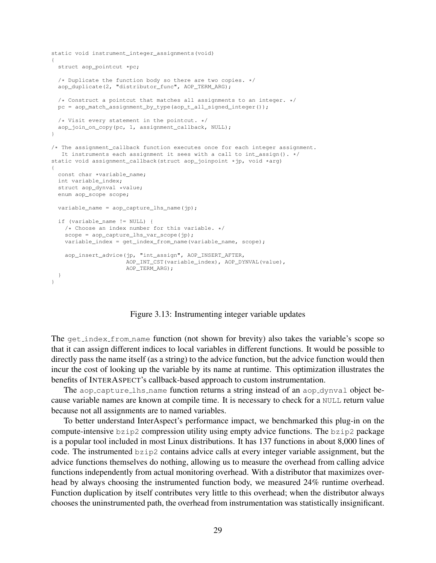```
static void instrument_integer_assignments(void)
{
  struct aop_pointcut *pc;
  /* Duplicate the function body so there are two copies. */aop_duplicate(2, "distributor_func", AOP_TERM_ARG);
 /* Construct a pointcut that matches all assignments to an integer. */pc = aop\_match\_assignment\_by\_type(aop\_t\_all\_signed\_integral();
  /* Visit every statement in the pointcut. */aop_join_on_copy(pc, 1, assignment_callback, NULL);
}
/* The assignment_callback function executes once for each integer assignment.
   It instruments each assignment it sees with a call to int assign(). */static void assignment_callback(struct aop_joinpoint *jp, void *arg)
{
 const char *variable_name;
 int variable_index;
 struct aop_dynval *value;
 enum aop_scope scope;
 variable_name = aop\_capture_lhs_name(jp);
  if (variable_name != NULL) {
    /* Choose an index number for this variable. */
    scope = aop_capture_lhs_var_scope(jp);
    variable_index = get_index_from_name(variable_name, scope);
    aop_insert_advice(jp, "int_assign", AOP_INSERT_AFTER,
                     AOP_INT_CST(variable_index), AOP_DYNVAL(value),
                     AOP_TERM_ARG);
 }
}
```
Figure 3.13: Instrumenting integer variable updates

The get index from name function (not shown for brevity) also takes the variable's scope so that it can assign different indices to local variables in different functions. It would be possible to directly pass the name itself (as a string) to the advice function, but the advice function would then incur the cost of looking up the variable by its name at runtime. This optimization illustrates the benefits of INTERASPECT's callback-based approach to custom instrumentation.

The aop capture lhs name function returns a string instead of an aop dynval object because variable names are known at compile time. It is necessary to check for a NULL return value because not all assignments are to named variables.

To better understand InterAspect's performance impact, we benchmarked this plug-in on the compute-intensive bzip2 compression utility using empty advice functions. The bzip2 package is a popular tool included in most Linux distributions. It has 137 functions in about 8,000 lines of code. The instrumented bzip2 contains advice calls at every integer variable assignment, but the advice functions themselves do nothing, allowing us to measure the overhead from calling advice functions independently from actual monitoring overhead. With a distributor that maximizes overhead by always choosing the instrumented function body, we measured 24% runtime overhead. Function duplication by itself contributes very little to this overhead; when the distributor always chooses the uninstrumented path, the overhead from instrumentation was statistically insignificant.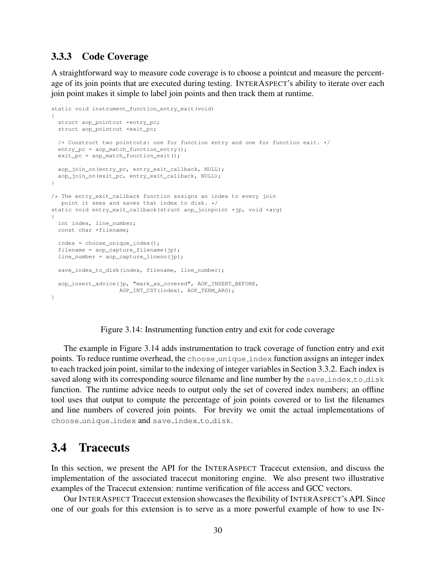### 3.3.3 Code Coverage

A straightforward way to measure code coverage is to choose a pointcut and measure the percentage of its join points that are executed during testing. INTERASPECT's ability to iterate over each join point makes it simple to label join points and then track them at runtime.

```
static void instrument_function_entry_exit(void)
{
 struct aop_pointcut *entry_pc;
 struct aop_pointcut *exit_pc;
 /* Construct two pointcuts: one for function entry and one for function exit. */
 entry_pc = aop_match_function_entry();
 exit_pc = aop_match_function_exit();
 aop_join_on(entry_pc, entry_exit_callback, NULL);
 aop_join_on(exit_pc, entry_exit_callback, NULL);
\lambda/* The entry_exit_callback function assigns an index to every join
  point it sees and saves that index to disk. */
static void entry_exit_callback(struct aop_joinpoint *jp, void *arg)
{
 int index, line_number;
 const char *filename;
 index = choose_unique_index();
 filename = aop capture filename(jp);
 line_number = aop_capture_lineno(jp);
 save_index_to_disk(index, filename, line_number);
 aop_insert_advice(jp, "mark_as_covered", AOP_INSERT_BEFORE,
                  AOP_INT_CST(index), AOP_TERM_ARG);
}
```


The example in Figure 3.14 adds instrumentation to track coverage of function entry and exit points. To reduce runtime overhead, the choose unique index function assigns an integer index to each tracked join point, similar to the indexing of integer variables in Section 3.3.2. Each index is saved along with its corresponding source filename and line number by the save\_index\_to\_disk function. The runtime advice needs to output only the set of covered index numbers; an offline tool uses that output to compute the percentage of join points covered or to list the filenames and line numbers of covered join points. For brevity we omit the actual implementations of choose unique index and save index to disk.

## 3.4 Tracecuts

In this section, we present the API for the INTERASPECT Tracecut extension, and discuss the implementation of the associated tracecut monitoring engine. We also present two illustrative examples of the Tracecut extension: runtime verification of file access and GCC vectors.

Our INTERASPECT Tracecut extension showcases the flexibility of INTERASPECT's API. Since one of our goals for this extension is to serve as a more powerful example of how to use IN-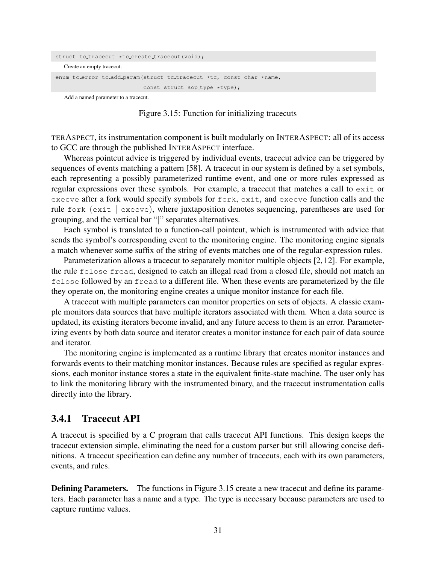```
struct tc_tracecut *tc_create_tracecut(void);
```

```
Create an empty tracecut.
```
enum tc\_error tc\_add\_param(struct tc\_tracecut \*tc, const char \*name, const struct aop\_type \*type);

Add a named parameter to a tracecut.

Figure 3.15: Function for initializing tracecuts

TERASPECT, its instrumentation component is built modularly on INTERASPECT: all of its access to GCC are through the published INTERASPECT interface.

Whereas pointcut advice is triggered by individual events, tracecut advice can be triggered by sequences of events matching a pattern [58]. A tracecut in our system is defined by a set symbols, each representing a possibly parameterized runtime event, and one or more rules expressed as regular expressions over these symbols. For example, a tracecut that matches a call to exit or execve after a fork would specify symbols for fork, exit, and execve function calls and the rule fork (exit | execve), where juxtaposition denotes sequencing, parentheses are used for grouping, and the vertical bar "|" separates alternatives.

Each symbol is translated to a function-call pointcut, which is instrumented with advice that sends the symbol's corresponding event to the monitoring engine. The monitoring engine signals a match whenever some suffix of the string of events matches one of the regular-expression rules.

Parameterization allows a tracecut to separately monitor multiple objects [2, 12]. For example, the rule fclose fread, designed to catch an illegal read from a closed file, should not match an fclose followed by an fread to a different file. When these events are parameterized by the file they operate on, the monitoring engine creates a unique monitor instance for each file.

A tracecut with multiple parameters can monitor properties on sets of objects. A classic example monitors data sources that have multiple iterators associated with them. When a data source is updated, its existing iterators become invalid, and any future access to them is an error. Parameterizing events by both data source and iterator creates a monitor instance for each pair of data source and iterator.

The monitoring engine is implemented as a runtime library that creates monitor instances and forwards events to their matching monitor instances. Because rules are specified as regular expressions, each monitor instance stores a state in the equivalent finite-state machine. The user only has to link the monitoring library with the instrumented binary, and the tracecut instrumentation calls directly into the library.

### 3.4.1 Tracecut API

A tracecut is specified by a C program that calls tracecut API functions. This design keeps the tracecut extension simple, eliminating the need for a custom parser but still allowing concise definitions. A tracecut specification can define any number of tracecuts, each with its own parameters, events, and rules.

Defining Parameters. The functions in Figure 3.15 create a new tracecut and define its parameters. Each parameter has a name and a type. The type is necessary because parameters are used to capture runtime values.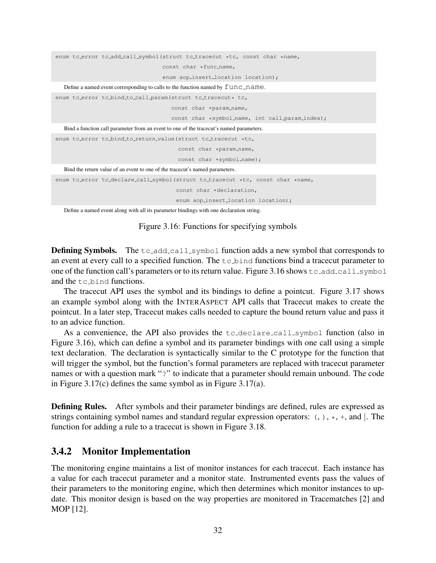```
enum tc_error tc_add_call_symbol(struct tc_tracecut *tc, const char *name,
                                    const char *func_name,
                                    enum aop_insert_location location);
  Define a named event corresponding to calls to the function named by \texttt{func_name}.enum tc_error tc_bind_to_call_param(struct tc_tracecut* tc,
                                       const char *param_name,
                                      const char *symbol_name, int call_param_index);
  Bind a function call parameter from an event to one of the tracecut's named parameters.
enum tc_error tc_bind_to_return_value(struct tc_tracecut *tc,
                                         const char *param_name,
                                         const char *symbol_name);
  Bind the return value of an event to one of the tracecut's named parameters.
enum tc_error tc_declare_call_symbol(struct tc_tracecut *tc, const char *name,
                                        const char *declaration,
                                        enum aop_insert_location location);
```
Define a named event along with all its parameter bindings with one declaration string.

#### Figure 3.16: Functions for specifying symbols

**Defining Symbols.** The tc\_add\_call\_symbol function adds a new symbol that corresponds to an event at every call to a specified function. The  $t \in b$  ind functions bind a tracecut parameter to one of the function call's parameters or to its return value. Figure 3.16 shows  $tc$ -add-call-symbol and the tc bind functions.

The tracecut API uses the symbol and its bindings to define a pointcut. Figure 3.17 shows an example symbol along with the INTERASPECT API calls that Tracecut makes to create the pointcut. In a later step, Tracecut makes calls needed to capture the bound return value and pass it to an advice function.

As a convenience, the API also provides the tc declare call symbol function (also in Figure 3.16), which can define a symbol and its parameter bindings with one call using a simple text declaration. The declaration is syntactically similar to the C prototype for the function that will trigger the symbol, but the function's formal parameters are replaced with tracecut parameter names or with a question mark "?" to indicate that a parameter should remain unbound. The code in Figure 3.17(c) defines the same symbol as in Figure 3.17(a).

Defining Rules. After symbols and their parameter bindings are defined, rules are expressed as strings containing symbol names and standard regular expression operators:  $(, ), *, +$ , and  $\vert$ . The function for adding a rule to a tracecut is shown in Figure 3.18.

### 3.4.2 Monitor Implementation

The monitoring engine maintains a list of monitor instances for each tracecut. Each instance has a value for each tracecut parameter and a monitor state. Instrumented events pass the values of their parameters to the monitoring engine, which then determines which monitor instances to update. This monitor design is based on the way properties are monitored in Tracematches [2] and MOP [12].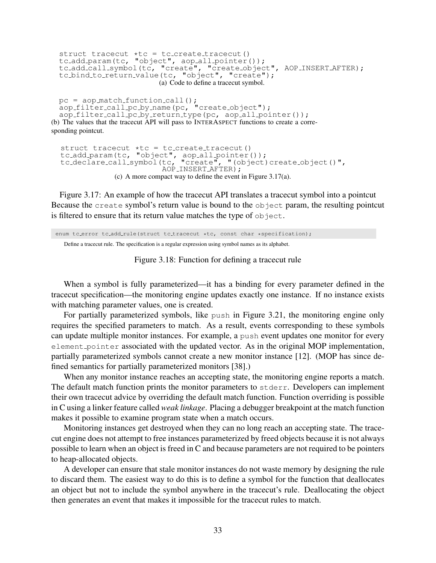```
struct tracecut *tc = tc.create_tracecut()tc_add_param(tc, "object", aop_all_pointer());
  tc_add_call_symbol(tc, "create", "create_object", AOP_INSERT_AFTER);
  tc bind to return value(tc, "object", "create");
                           (a) Code to define a tracecut symbol.
  pc = aop\_match\_function\_call();
  -<br>aop_filter_call_pc_by_name(pc, "create_object");
  aop_filter_call_pc_by_return_type(pc, aop_all_pointer());
(b) The values that the tracecut API will pass to INTERASPECT functions to create a corre-
sponding pointcut.
  struct tracecut *tc = tc.create_tracecut()
```

```
tc_add_param(tc, "object", aop_all_pointer());
tc_declare_call_symbol(tc, "create", "(object)create_object()",
                         AOP INSERT AFTER);
             (c) A more compact way to define the event in Figure 3.17(a).
```
Figure 3.17: An example of how the tracecut API translates a tracecut symbol into a pointcut Because the create symbol's return value is bound to the object param, the resulting pointcut is filtered to ensure that its return value matches the type of object.

```
enum tc_error tc_add_rule(struct tc_tracecut *tc, const char *specification);
   Define a tracecut rule. The specification is a regular expression using symbol names as its alphabet.
```
Figure 3.18: Function for defining a tracecut rule

When a symbol is fully parameterized—it has a binding for every parameter defined in the tracecut specification—the monitoring engine updates exactly one instance. If no instance exists with matching parameter values, one is created.

For partially parameterized symbols, like push in Figure 3.21, the monitoring engine only requires the specified parameters to match. As a result, events corresponding to these symbols can update multiple monitor instances. For example, a push event updates one monitor for every element pointer associated with the updated vector. As in the original MOP implementation, partially parameterized symbols cannot create a new monitor instance [12]. (MOP has since defined semantics for partially parameterized monitors [38].)

When any monitor instance reaches an accepting state, the monitoring engine reports a match. The default match function prints the monitor parameters to stderr. Developers can implement their own tracecut advice by overriding the default match function. Function overriding is possible in C using a linker feature called *weak linkage*. Placing a debugger breakpoint at the match function makes it possible to examine program state when a match occurs.

Monitoring instances get destroyed when they can no long reach an accepting state. The tracecut engine does not attempt to free instances parameterized by freed objects because it is not always possible to learn when an object is freed in C and because parameters are not required to be pointers to heap-allocated objects.

A developer can ensure that stale monitor instances do not waste memory by designing the rule to discard them. The easiest way to do this is to define a symbol for the function that deallocates an object but not to include the symbol anywhere in the tracecut's rule. Deallocating the object then generates an event that makes it impossible for the tracecut rules to match.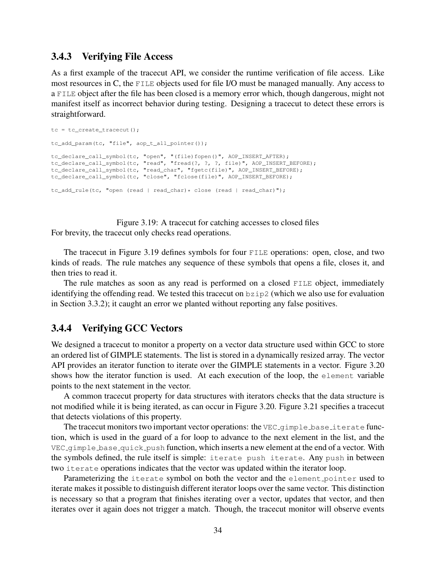#### 3.4.3 Verifying File Access

As a first example of the tracecut API, we consider the runtime verification of file access. Like most resources in C, the FILE objects used for file I/O must be managed manually. Any access to a FILE object after the file has been closed is a memory error which, though dangerous, might not manifest itself as incorrect behavior during testing. Designing a tracecut to detect these errors is straightforward.

```
tc = tc_create_tracecut();
tc_add_param(tc, "file", aop_t_all_pointer());
tc_declare_call_symbol(tc, "open", "(file)fopen()", AOP_INSERT_AFTER);
tc_declare_call_symbol(tc, "read", "fread(?, ?, ?, file)", AOP_INSERT_BEFORE);
tc_declare_call_symbol(tc, "read_char", "fgetc(file)", AOP_INSERT_BEFORE);
tc_declare_call_symbol(tc, "close", "fclose(file)", AOP_INSERT_BEFORE);
tc_add_rule(tc, "open (read | read_char)* close (read | read_char)");
```
Figure 3.19: A tracecut for catching accesses to closed files For brevity, the tracecut only checks read operations.

The tracecut in Figure 3.19 defines symbols for four FILE operations: open, close, and two kinds of reads. The rule matches any sequence of these symbols that opens a file, closes it, and then tries to read it.

The rule matches as soon as any read is performed on a closed FILE object, immediately identifying the offending read. We tested this tracecut on  $bzip2$  (which we also use for evaluation in Section 3.3.2); it caught an error we planted without reporting any false positives.

### 3.4.4 Verifying GCC Vectors

We designed a tracecut to monitor a property on a vector data structure used within GCC to store an ordered list of GIMPLE statements. The list is stored in a dynamically resized array. The vector API provides an iterator function to iterate over the GIMPLE statements in a vector. Figure 3.20 shows how the iterator function is used. At each execution of the loop, the element variable points to the next statement in the vector.

A common tracecut property for data structures with iterators checks that the data structure is not modified while it is being iterated, as can occur in Figure 3.20. Figure 3.21 specifies a tracecut that detects violations of this property.

The tracecut monitors two important vector operations: the  $VEC_q$  imple base iterate function, which is used in the guard of a for loop to advance to the next element in the list, and the VEC gimple base quick push function, which inserts a new element at the end of a vector. With the symbols defined, the rule itself is simple: iterate push iterate. Any push in between two iterate operations indicates that the vector was updated within the iterator loop.

Parameterizing the iterate symbol on both the vector and the element pointer used to iterate makes it possible to distinguish different iterator loops over the same vector. This distinction is necessary so that a program that finishes iterating over a vector, updates that vector, and then iterates over it again does not trigger a match. Though, the tracecut monitor will observe events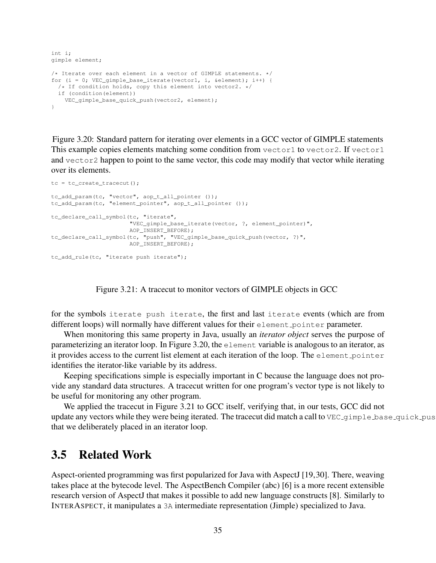```
int i;
gimple element;
/* Iterate over each element in a vector of GIMPLE statements. */for (i = 0; VEC_gimple_base_iterate(vector1, i, &element); i^{++}) {
  /* If condition holds, copy this element into vector2. */
  if (condition(element))
   VEC_gimple_base_quick_push(vector2, element);
}
```
Figure 3.20: Standard pattern for iterating over elements in a GCC vector of GIMPLE statements This example copies elements matching some condition from vector1 to vector2. If vector1 and vector2 happen to point to the same vector, this code may modify that vector while iterating over its elements.

```
tc = tc_create_tracecut();
tc_add_param(tc, "vector", aop_t_all_pointer ());
tc_add_param(tc, "element_pointer", aop_t_all_pointer ());
tc_declare_call_symbol(tc, "iterate",
                      "VEC_gimple_base_iterate(vector, ?, element_pointer)",
                      AOP_INSERT_BEFORE);
tc_declare_call_symbol(tc, "push", "VEC_gimple_base_quick_push(vector, ?)",
                      AOP_INSERT_BEFORE);
tc_add_rule(tc, "iterate push iterate");
```
Figure 3.21: A tracecut to monitor vectors of GIMPLE objects in GCC

for the symbols iterate push iterate, the first and last iterate events (which are from different loops) will normally have different values for their element pointer parameter.

When monitoring this same property in Java, usually an *iterator object* serves the purpose of parameterizing an iterator loop. In Figure 3.20, the element variable is analogous to an iterator, as it provides access to the current list element at each iteration of the loop. The element pointer identifies the iterator-like variable by its address.

Keeping specifications simple is especially important in C because the language does not provide any standard data structures. A tracecut written for one program's vector type is not likely to be useful for monitoring any other program.

We applied the tracecut in Figure 3.21 to GCC itself, verifying that, in our tests, GCC did not update any vectors while they were being iterated. The tracecut did match a call to  $VEC$ -gimple base-quick pus that we deliberately placed in an iterator loop.

## 3.5 Related Work

Aspect-oriented programming was first popularized for Java with AspectJ [19,30]. There, weaving takes place at the bytecode level. The AspectBench Compiler (abc) [6] is a more recent extensible research version of AspectJ that makes it possible to add new language constructs [8]. Similarly to INTERASPECT, it manipulates a 3A intermediate representation (Jimple) specialized to Java.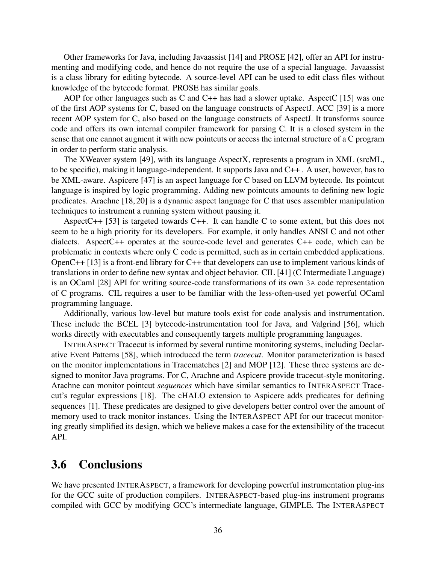Other frameworks for Java, including Javaassist [14] and PROSE [42], offer an API for instrumenting and modifying code, and hence do not require the use of a special language. Javaassist is a class library for editing bytecode. A source-level API can be used to edit class files without knowledge of the bytecode format. PROSE has similar goals.

AOP for other languages such as C and  $C_{++}$  has had a slower uptake. AspectC [15] was one of the first AOP systems for C, based on the language constructs of AspectJ. ACC [39] is a more recent AOP system for C, also based on the language constructs of AspectJ. It transforms source code and offers its own internal compiler framework for parsing C. It is a closed system in the sense that one cannot augment it with new pointcuts or access the internal structure of a C program in order to perform static analysis.

The XWeaver system [49], with its language AspectX, represents a program in XML (srcML, to be specific), making it language-independent. It supports Java and C++ . A user, however, has to be XML-aware. Aspicere [47] is an aspect language for C based on LLVM bytecode. Its pointcut language is inspired by logic programming. Adding new pointcuts amounts to defining new logic predicates. Arachne [18, 20] is a dynamic aspect language for C that uses assembler manipulation techniques to instrument a running system without pausing it.

AspectC++ [53] is targeted towards C++. It can handle C to some extent, but this does not seem to be a high priority for its developers. For example, it only handles ANSI C and not other dialects. AspectC++ operates at the source-code level and generates C++ code, which can be problematic in contexts where only C code is permitted, such as in certain embedded applications. OpenC++ [13] is a front-end library for C++ that developers can use to implement various kinds of translations in order to define new syntax and object behavior. CIL [41] (C Intermediate Language) is an OCaml [28] API for writing source-code transformations of its own 3A code representation of C programs. CIL requires a user to be familiar with the less-often-used yet powerful OCaml programming language.

Additionally, various low-level but mature tools exist for code analysis and instrumentation. These include the BCEL [3] bytecode-instrumentation tool for Java, and Valgrind [56], which works directly with executables and consequently targets multiple programming languages.

INTERASPECT Tracecut is informed by several runtime monitoring systems, including Declarative Event Patterns [58], which introduced the term *tracecut*. Monitor parameterization is based on the monitor implementations in Tracematches [2] and MOP [12]. These three systems are designed to monitor Java programs. For C, Arachne and Aspicere provide tracecut-style monitoring. Arachne can monitor pointcut *sequences* which have similar semantics to INTERASPECT Tracecut's regular expressions [18]. The cHALO extension to Aspicere adds predicates for defining sequences [1]. These predicates are designed to give developers better control over the amount of memory used to track monitor instances. Using the INTERASPECT API for our tracecut monitoring greatly simplified its design, which we believe makes a case for the extensibility of the tracecut API.

## 3.6 Conclusions

We have presented INTERASPECT, a framework for developing powerful instrumentation plug-ins for the GCC suite of production compilers. INTERASPECT-based plug-ins instrument programs compiled with GCC by modifying GCC's intermediate language, GIMPLE. The INTERASPECT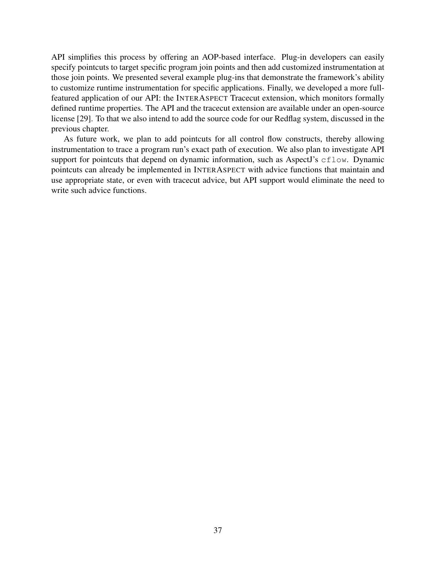API simplifies this process by offering an AOP-based interface. Plug-in developers can easily specify pointcuts to target specific program join points and then add customized instrumentation at those join points. We presented several example plug-ins that demonstrate the framework's ability to customize runtime instrumentation for specific applications. Finally, we developed a more fullfeatured application of our API: the INTERASPECT Tracecut extension, which monitors formally defined runtime properties. The API and the tracecut extension are available under an open-source license [29]. To that we also intend to add the source code for our Redflag system, discussed in the previous chapter.

As future work, we plan to add pointcuts for all control flow constructs, thereby allowing instrumentation to trace a program run's exact path of execution. We also plan to investigate API support for pointcuts that depend on dynamic information, such as AspectJ's cflow. Dynamic pointcuts can already be implemented in INTERASPECT with advice functions that maintain and use appropriate state, or even with tracecut advice, but API support would eliminate the need to write such advice functions.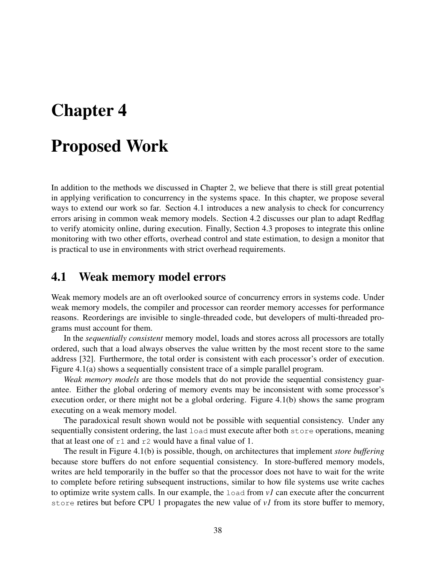## Chapter 4

## Proposed Work

In addition to the methods we discussed in Chapter 2, we believe that there is still great potential in applying verification to concurrency in the systems space. In this chapter, we propose several ways to extend our work so far. Section 4.1 introduces a new analysis to check for concurrency errors arising in common weak memory models. Section 4.2 discusses our plan to adapt Redflag to verify atomicity online, during execution. Finally, Section 4.3 proposes to integrate this online monitoring with two other efforts, overhead control and state estimation, to design a monitor that is practical to use in environments with strict overhead requirements.

### 4.1 Weak memory model errors

Weak memory models are an oft overlooked source of concurrency errors in systems code. Under weak memory models, the compiler and processor can reorder memory accesses for performance reasons. Reorderings are invisible to single-threaded code, but developers of multi-threaded programs must account for them.

In the *sequentially consistent* memory model, loads and stores across all processors are totally ordered, such that a load always observes the value written by the most recent store to the same address [32]. Furthermore, the total order is consistent with each processor's order of execution. Figure 4.1(a) shows a sequentially consistent trace of a simple parallel program.

*Weak memory models* are those models that do not provide the sequential consistency guarantee. Either the global ordering of memory events may be inconsistent with some processor's execution order, or there might not be a global ordering. Figure 4.1(b) shows the same program executing on a weak memory model.

The paradoxical result shown would not be possible with sequential consistency. Under any sequentially consistent ordering, the last load must execute after both store operations, meaning that at least one of  $r1$  and  $r2$  would have a final value of 1.

The result in Figure 4.1(b) is possible, though, on architectures that implement *store buffering* because store buffers do not enfore sequential consistency. In store-buffered memory models, writes are held temporarily in the buffer so that the processor does not have to wait for the write to complete before retiring subsequent instructions, similar to how file systems use write caches to optimize write system calls. In our example, the load from *v1* can execute after the concurrent store retires but before CPU 1 propagates the new value of *v1* from its store buffer to memory,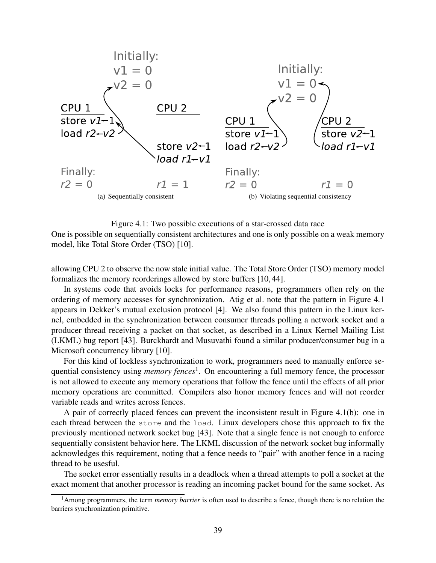

Figure 4.1: Two possible executions of a star-crossed data race One is possible on sequentially consistent architectures and one is only possible on a weak memory model, like Total Store Order (TSO) [10].

allowing CPU 2 to observe the now stale initial value. The Total Store Order (TSO) memory model formalizes the memory reorderings allowed by store buffers [10, 44].

In systems code that avoids locks for performance reasons, programmers often rely on the ordering of memory accesses for synchronization. Atig et al. note that the pattern in Figure 4.1 appears in Dekker's mutual exclusion protocol [4]. We also found this pattern in the Linux kernel, embedded in the synchronization between consumer threads polling a network socket and a producer thread receiving a packet on that socket, as described in a Linux Kernel Mailing List (LKML) bug report [43]. Burckhardt and Musuvathi found a similar producer/consumer bug in a Microsoft concurrency library [10].

For this kind of lockless synchronization to work, programmers need to manually enforce sequential consistency using *memory fences*<sup>1</sup> . On encountering a full memory fence, the processor is not allowed to execute any memory operations that follow the fence until the effects of all prior memory operations are committed. Compilers also honor memory fences and will not reorder variable reads and writes across fences.

A pair of correctly placed fences can prevent the inconsistent result in Figure 4.1(b): one in each thread between the store and the load. Linux developers chose this approach to fix the previously mentioned network socket bug [43]. Note that a single fence is not enough to enforce sequentially consistent behavior here. The LKML discussion of the network socket bug informally acknowledges this requirement, noting that a fence needs to "pair" with another fence in a racing thread to be usesful.

The socket error essentially results in a deadlock when a thread attempts to poll a socket at the exact moment that another processor is reading an incoming packet bound for the same socket. As

<sup>1</sup>Among programmers, the term *memory barrier* is often used to describe a fence, though there is no relation the barriers synchronization primitive.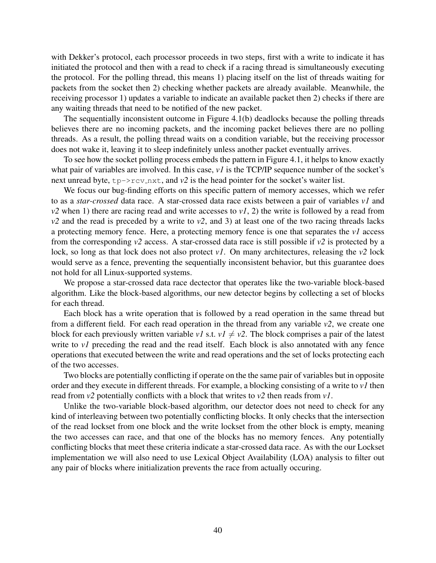with Dekker's protocol, each processor proceeds in two steps, first with a write to indicate it has initiated the protocol and then with a read to check if a racing thread is simultaneously executing the protocol. For the polling thread, this means 1) placing itself on the list of threads waiting for packets from the socket then 2) checking whether packets are already available. Meanwhile, the receiving processor 1) updates a variable to indicate an available packet then 2) checks if there are any waiting threads that need to be notified of the new packet.

The sequentially inconsistent outcome in Figure 4.1(b) deadlocks because the polling threads believes there are no incoming packets, and the incoming packet believes there are no polling threads. As a result, the polling thread waits on a condition variable, but the receiving processor does not wake it, leaving it to sleep indefinitely unless another packet eventually arrives.

To see how the socket polling process embeds the pattern in Figure 4.1, it helps to know exactly what pair of variables are involved. In this case, *v1* is the TCP/IP sequence number of the socket's next unread byte,  $tp \rightarrow rev_nxt$ , and  $v2$  is the head pointer for the socket's waiter list.

We focus our bug-finding efforts on this specific pattern of memory accesses, which we refer to as a *star-crossed* data race. A star-crossed data race exists between a pair of variables *v1* and *v2* when 1) there are racing read and write accesses to *v1*, 2) the write is followed by a read from *v2* and the read is preceded by a write to *v2*, and 3) at least one of the two racing threads lacks a protecting memory fence. Here, a protecting memory fence is one that separates the *v1* access from the corresponding *v2* access. A star-crossed data race is still possible if *v2* is protected by a lock, so long as that lock does not also protect *v1*. On many architectures, releasing the *v2* lock would serve as a fence, preventing the sequentially inconsistent behavior, but this guarantee does not hold for all Linux-supported systems.

We propose a star-crossed data race dectector that operates like the two-variable block-based algorithm. Like the block-based algorithms, our new detector begins by collecting a set of blocks for each thread.

Each block has a write operation that is followed by a read operation in the same thread but from a different field. For each read operation in the thread from any variable *v2*, we create one block for each previously written variable *v1* s.t.  $v1 \neq v2$ . The block comprises a pair of the latest write to *v1* preceding the read and the read itself. Each block is also annotated with any fence operations that executed between the write and read operations and the set of locks protecting each of the two accesses.

Two blocks are potentially conflicting if operate on the the same pair of variables but in opposite order and they execute in different threads. For example, a blocking consisting of a write to *v1* then read from *v2* potentially conflicts with a block that writes to *v2* then reads from *v1*.

Unlike the two-variable block-based algorithm, our detector does not need to check for any kind of interleaving between two potentially conflicting blocks. It only checks that the intersection of the read lockset from one block and the write lockset from the other block is empty, meaning the two accesses can race, and that one of the blocks has no memory fences. Any potentially conflicting blocks that meet these criteria indicate a star-crossed data race. As with the our Lockset implementation we will also need to use Lexical Object Availability (LOA) analysis to filter out any pair of blocks where initialization prevents the race from actually occuring.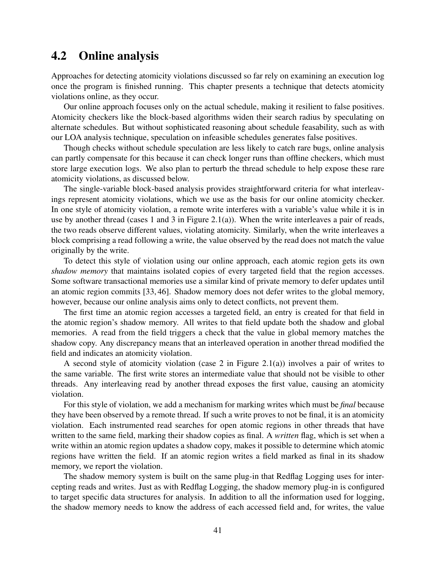## 4.2 Online analysis

Approaches for detecting atomicity violations discussed so far rely on examining an execution log once the program is finished running. This chapter presents a technique that detects atomicity violations online, as they occur.

Our online approach focuses only on the actual schedule, making it resilient to false positives. Atomicity checkers like the block-based algorithms widen their search radius by speculating on alternate schedules. But without sophisticated reasoning about schedule feasability, such as with our LOA analysis technique, speculation on infeasible schedules generates false positives.

Though checks without schedule speculation are less likely to catch rare bugs, online analysis can partly compensate for this because it can check longer runs than offline checkers, which must store large execution logs. We also plan to perturb the thread schedule to help expose these rare atomicity violations, as discussed below.

The single-variable block-based analysis provides straightforward criteria for what interleavings represent atomicity violations, which we use as the basis for our online atomicity checker. In one style of atomicity violation, a remote write interferes with a variable's value while it is in use by another thread (cases 1 and 3 in Figure 2.1(a)). When the write interleaves a pair of reads, the two reads observe different values, violating atomicity. Similarly, when the write interleaves a block comprising a read following a write, the value observed by the read does not match the value originally by the write.

To detect this style of violation using our online approach, each atomic region gets its own *shadow memory* that maintains isolated copies of every targeted field that the region accesses. Some software transactional memories use a similar kind of private memory to defer updates until an atomic region commits [33, 46]. Shadow memory does not defer writes to the global memory, however, because our online analysis aims only to detect conflicts, not prevent them.

The first time an atomic region accesses a targeted field, an entry is created for that field in the atomic region's shadow memory. All writes to that field update both the shadow and global memories. A read from the field triggers a check that the value in global memory matches the shadow copy. Any discrepancy means that an interleaved operation in another thread modified the field and indicates an atomicity violation.

A second style of atomicity violation (case 2 in Figure 2.1(a)) involves a pair of writes to the same variable. The first write stores an intermediate value that should not be visible to other threads. Any interleaving read by another thread exposes the first value, causing an atomicity violation.

For this style of violation, we add a mechanism for marking writes which must be *final* because they have been observed by a remote thread. If such a write proves to not be final, it is an atomicity violation. Each instrumented read searches for open atomic regions in other threads that have written to the same field, marking their shadow copies as final. A *written* flag, which is set when a write within an atomic region updates a shadow copy, makes it possible to determine which atomic regions have written the field. If an atomic region writes a field marked as final in its shadow memory, we report the violation.

The shadow memory system is built on the same plug-in that Redflag Logging uses for intercepting reads and writes. Just as with Redflag Logging, the shadow memory plug-in is configured to target specific data structures for analysis. In addition to all the information used for logging, the shadow memory needs to know the address of each accessed field and, for writes, the value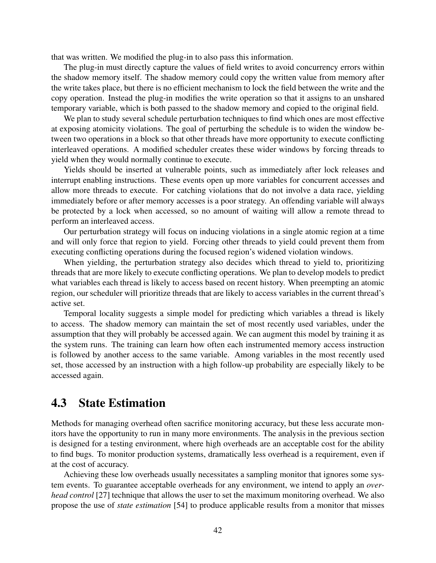that was written. We modified the plug-in to also pass this information.

The plug-in must directly capture the values of field writes to avoid concurrency errors within the shadow memory itself. The shadow memory could copy the written value from memory after the write takes place, but there is no efficient mechanism to lock the field between the write and the copy operation. Instead the plug-in modifies the write operation so that it assigns to an unshared temporary variable, which is both passed to the shadow memory and copied to the original field.

We plan to study several schedule perturbation techniques to find which ones are most effective at exposing atomicity violations. The goal of perturbing the schedule is to widen the window between two operations in a block so that other threads have more opportunity to execute conflicting interleaved operations. A modified scheduler creates these wider windows by forcing threads to yield when they would normally continue to execute.

Yields should be inserted at vulnerable points, such as immediately after lock releases and interrupt enabling instructions. These events open up more variables for concurrent accesses and allow more threads to execute. For catching violations that do not involve a data race, yielding immediately before or after memory accesses is a poor strategy. An offending variable will always be protected by a lock when accessed, so no amount of waiting will allow a remote thread to perform an interleaved access.

Our perturbation strategy will focus on inducing violations in a single atomic region at a time and will only force that region to yield. Forcing other threads to yield could prevent them from executing conflicting operations during the focused region's widened violation windows.

When yielding, the perturbation strategy also decides which thread to yield to, prioritizing threads that are more likely to execute conflicting operations. We plan to develop models to predict what variables each thread is likely to access based on recent history. When preempting an atomic region, our scheduler will prioritize threads that are likely to access variables in the current thread's active set.

Temporal locality suggests a simple model for predicting which variables a thread is likely to access. The shadow memory can maintain the set of most recently used variables, under the assumption that they will probably be accessed again. We can augment this model by training it as the system runs. The training can learn how often each instrumented memory access instruction is followed by another access to the same variable. Among variables in the most recently used set, those accessed by an instruction with a high follow-up probability are especially likely to be accessed again.

## 4.3 State Estimation

Methods for managing overhead often sacrifice monitoring accuracy, but these less accurate monitors have the opportunity to run in many more environments. The analysis in the previous section is designed for a testing environment, where high overheads are an acceptable cost for the ability to find bugs. To monitor production systems, dramatically less overhead is a requirement, even if at the cost of accuracy.

Achieving these low overheads usually necessitates a sampling monitor that ignores some system events. To guarantee acceptable overheads for any environment, we intend to apply an *overhead control* [27] technique that allows the user to set the maximum monitoring overhead. We also propose the use of *state estimation* [54] to produce applicable results from a monitor that misses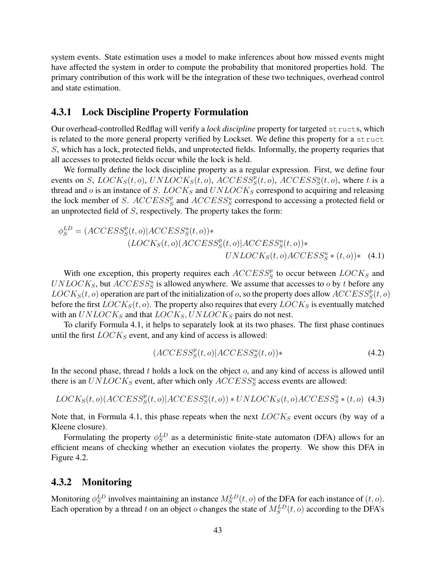system events. State estimation uses a model to make inferences about how missed events might have affected the system in order to compute the probability that monitored properties hold. The primary contribution of this work will be the integration of these two techniques, overhead control and state estimation.

### 4.3.1 Lock Discipline Property Formulation

Our overhead-controlled Redflag will verify a *lock discipline* property for targeted structs, which is related to the more general property verified by Lockset. We define this property for a struct S, which has a lock, protected fields, and unprotected fields. Informally, the property requries that all accesses to protected fields occur while the lock is held.

We formally define the lock discipline property as a regular expression. First, we define four events on S,  $LOCK_S(t, o)$ ,  $UNLOCK_S(t, o)$ ,  $ACCESS_S^p(t, o)$ ,  $ACCESS_S^u(t, o)$ , where t is a thread and  $o$  is an instance of S. LOCK<sub>S</sub> and UNLOCK<sub>S</sub> correspond to acquiring and releasing the lock member of S.  $ACCESS_S^p$  and  $ACCESS_S^u$  correspond to accessing a protected field or an unprotected field of S, respectively. The property takes the form:

$$
\phi_S^{LD} = (ACCESS_S^p(t, o)|ACCESS_S^u(t, o)) *(LOCK_S(t, o)(ACCESS_S^p(t, o)|ACCESS_S^u(t, o)) *UNLOCK_S(t, o)ACCESS_S^u*(t, o)) *(4.1)
$$

With one exception, this property requires each  $ACCESS_S^p$  to occur between  $LOCK_S$  and  $UNLOCALS<sub>S</sub>$ , but  $ACCESS<sub>S</sub><sup>u</sup>$  is allowed anywhere. We assume that accesses to  $o$  by t before any  $LOCK_S(t, o)$  operation are part of the initialization of o, so the property does allow  $ACCESS_S^p(t, o)$ before the first  $LOCK<sub>S</sub>(t, o)$ . The property also requires that every  $LOCK<sub>S</sub>$  is eventually matched with an  $UNLOCAL_S$  and that  $LOCAL_S$ ,  $UNLOCAL_S$  pairs do not nest.

To clarify Formula 4.1, it helps to separately look at its two phases. The first phase continues until the first  $LOCK_S$  event, and any kind of access is allowed:

$$
(ACCESS_S^p(t, o)|ACCESS_S^u(t, o)) \tag{4.2}
$$

In the second phase, thread  $t$  holds a lock on the object  $o$ , and any kind of access is allowed until there is an  $UNLOCALS$  event, after which only  $ACCESS^u_S$  access events are allowed:

$$
LOCK_S(t, o)(ACCESS_S^p(t, o)|ACCESS_S^u(t, o)) * UNLOCK_S(t, o)ACCESS_S^u * (t, o)
$$
 (4.3)

Note that, in Formula 4.1, this phase repeats when the next  $LOCK_S$  event occurs (by way of a Kleene closure).

Formulating the property  $\phi_S^{LD}$  as a deterministic finite-state automaton (DFA) allows for an efficient means of checking whether an execution violates the property. We show this DFA in Figure 4.2.

### 4.3.2 Monitoring

Monitoring  $\phi_S^{LD}$  involves maintaining an instance  $M_S^{LD}(t, o)$  of the DFA for each instance of  $(t, o)$ . Each operation by a thread t on an object o changes the state of  $M_S^{LD}(t, o)$  according to the DFA's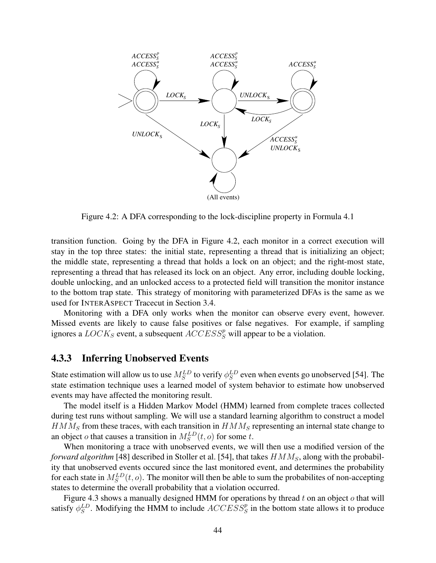

Figure 4.2: A DFA corresponding to the lock-discipline property in Formula 4.1

transition function. Going by the DFA in Figure 4.2, each monitor in a correct execution will stay in the top three states: the initial state, representing a thread that is initializing an object; the middle state, representing a thread that holds a lock on an object; and the right-most state, representing a thread that has released its lock on an object. Any error, including double locking, double unlocking, and an unlocked access to a protected field will transition the monitor instance to the bottom trap state. This strategy of monitoring with parameterized DFAs is the same as we used for INTERASPECT Tracecut in Section 3.4.

Monitoring with a DFA only works when the monitor can observe every event, however. Missed events are likely to cause false positives or false negatives. For example, if sampling ignores a  $\textit{LOCK}_S$  event, a subsequent  $\textit{ACCESS}_S^p$  will appear to be a violation.

### 4.3.3 Inferring Unobserved Events

State estimation will allow us to use  $M_S^{LD}$  to verify  $\phi_S^{LD}$  even when events go unobserved [54]. The state estimation technique uses a learned model of system behavior to estimate how unobserved events may have affected the monitoring result.

The model itself is a Hidden Markov Model (HMM) learned from complete traces collected during test runs without sampling. We will use a standard learning algorithm to construct a model  $HMM<sub>S</sub>$  from these traces, with each transition in  $HMM<sub>S</sub>$  representing an internal state change to an object *o* that causes a transition in  $M_S^{LD}(t, o)$  for some *t*.

When monitoring a trace with unobserved events, we will then use a modified version of the *forward algorithm* [48] described in Stoller et al. [54], that takes  $HMM<sub>S</sub>$ , along with the probability that unobserved events occured since the last monitored event, and determines the probability for each state in  $M_S^{LD}(t, o)$ . The monitor will then be able to sum the probabilites of non-accepting states to determine the overall probability that a violation occurred.

Figure 4.3 shows a manually designed HMM for operations by thread  $t$  on an object  $o$  that will satisfy  $\phi_S^{LD}$ . Modifying the HMM to include  $ACCESS_S^p$  in the bottom state allows it to produce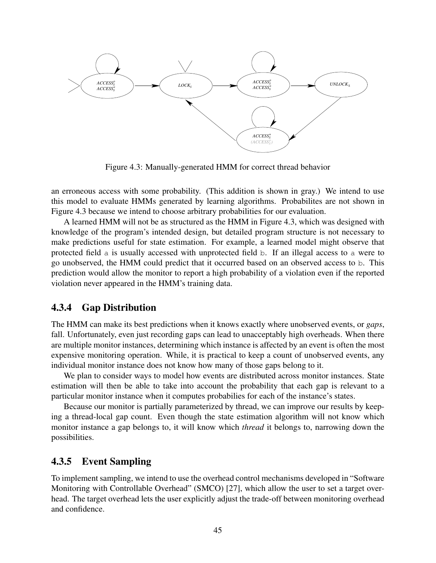

Figure 4.3: Manually-generated HMM for correct thread behavior

an erroneous access with some probability. (This addition is shown in gray.) We intend to use this model to evaluate HMMs generated by learning algorithms. Probabilites are not shown in Figure 4.3 because we intend to choose arbitrary probabilities for our evaluation.

A learned HMM will not be as structured as the HMM in Figure 4.3, which was designed with knowledge of the program's intended design, but detailed program structure is not necessary to make predictions useful for state estimation. For example, a learned model might observe that protected field a is usually accessed with unprotected field b. If an illegal access to a were to go unobserved, the HMM could predict that it occurred based on an observed access to b. This prediction would allow the monitor to report a high probability of a violation even if the reported violation never appeared in the HMM's training data.

#### 4.3.4 Gap Distribution

The HMM can make its best predictions when it knows exactly where unobserved events, or *gaps*, fall. Unfortunately, even just recording gaps can lead to unacceptably high overheads. When there are multiple monitor instances, determining which instance is affected by an event is often the most expensive monitoring operation. While, it is practical to keep a count of unobserved events, any individual monitor instance does not know how many of those gaps belong to it.

We plan to consider ways to model how events are distributed across monitor instances. State estimation will then be able to take into account the probability that each gap is relevant to a particular monitor instance when it computes probabilies for each of the instance's states.

Because our monitor is partially parameterized by thread, we can improve our results by keeping a thread-local gap count. Even though the state estimation algorithm will not know which monitor instance a gap belongs to, it will know which *thread* it belongs to, narrowing down the possibilities.

#### 4.3.5 Event Sampling

To implement sampling, we intend to use the overhead control mechanisms developed in "Software Monitoring with Controllable Overhead" (SMCO) [27], which allow the user to set a target overhead. The target overhead lets the user explicitly adjust the trade-off between monitoring overhead and confidence.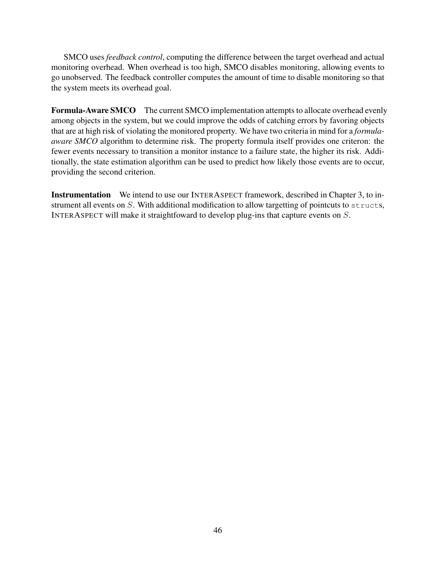SMCO uses *feedback control*, computing the difference between the target overhead and actual monitoring overhead. When overhead is too high, SMCO disables monitoring, allowing events to go unobserved. The feedback controller computes the amount of time to disable monitoring so that the system meets its overhead goal.

Formula-Aware SMCO The current SMCO implementation attempts to allocate overhead evenly among objects in the system, but we could improve the odds of catching errors by favoring objects that are at high risk of violating the monitored property. We have two criteria in mind for a *formulaaware SMCO* algorithm to determine risk. The property formula itself provides one criteron: the fewer events necessary to transition a monitor instance to a failure state, the higher its risk. Additionally, the state estimation algorithm can be used to predict how likely those events are to occur, providing the second criterion.

Instrumentation We intend to use our INTERASPECT framework, described in Chapter 3, to instrument all events on S. With additional modification to allow targetting of pointcuts to structs, INTERASPECT will make it straightfoward to develop plug-ins that capture events on S.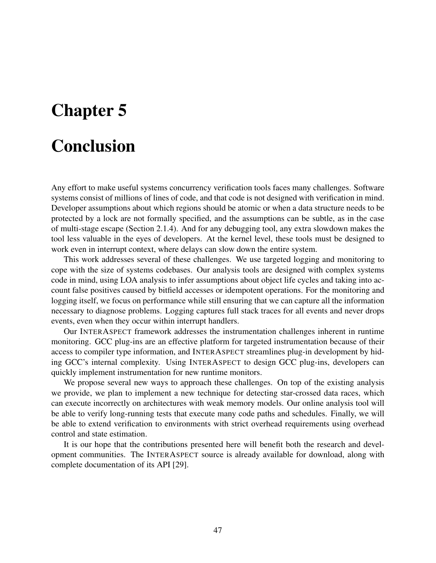## Chapter 5

## Conclusion

Any effort to make useful systems concurrency verification tools faces many challenges. Software systems consist of millions of lines of code, and that code is not designed with verification in mind. Developer assumptions about which regions should be atomic or when a data structure needs to be protected by a lock are not formally specified, and the assumptions can be subtle, as in the case of multi-stage escape (Section 2.1.4). And for any debugging tool, any extra slowdown makes the tool less valuable in the eyes of developers. At the kernel level, these tools must be designed to work even in interrupt context, where delays can slow down the entire system.

This work addresses several of these challenges. We use targeted logging and monitoring to cope with the size of systems codebases. Our analysis tools are designed with complex systems code in mind, using LOA analysis to infer assumptions about object life cycles and taking into account false positives caused by bitfield accesses or idempotent operations. For the monitoring and logging itself, we focus on performance while still ensuring that we can capture all the information necessary to diagnose problems. Logging captures full stack traces for all events and never drops events, even when they occur within interrupt handlers.

Our INTERASPECT framework addresses the instrumentation challenges inherent in runtime monitoring. GCC plug-ins are an effective platform for targeted instrumentation because of their access to compiler type information, and INTERASPECT streamlines plug-in development by hiding GCC's internal complexity. Using INTERASPECT to design GCC plug-ins, developers can quickly implement instrumentation for new runtime monitors.

We propose several new ways to approach these challenges. On top of the existing analysis we provide, we plan to implement a new technique for detecting star-crossed data races, which can execute incorrectly on architectures with weak memory models. Our online analysis tool will be able to verify long-running tests that execute many code paths and schedules. Finally, we will be able to extend verification to environments with strict overhead requirements using overhead control and state estimation.

It is our hope that the contributions presented here will benefit both the research and development communities. The INTERASPECT source is already available for download, along with complete documentation of its API [29].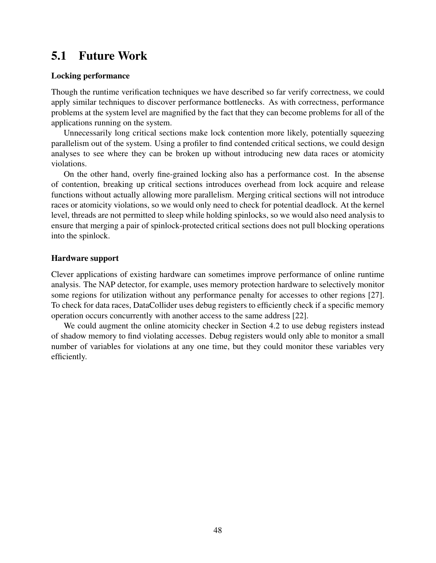## 5.1 Future Work

#### Locking performance

Though the runtime verification techniques we have described so far verify correctness, we could apply similar techniques to discover performance bottlenecks. As with correctness, performance problems at the system level are magnified by the fact that they can become problems for all of the applications running on the system.

Unnecessarily long critical sections make lock contention more likely, potentially squeezing parallelism out of the system. Using a profiler to find contended critical sections, we could design analyses to see where they can be broken up without introducing new data races or atomicity violations.

On the other hand, overly fine-grained locking also has a performance cost. In the absense of contention, breaking up critical sections introduces overhead from lock acquire and release functions without actually allowing more parallelism. Merging critical sections will not introduce races or atomicity violations, so we would only need to check for potential deadlock. At the kernel level, threads are not permitted to sleep while holding spinlocks, so we would also need analysis to ensure that merging a pair of spinlock-protected critical sections does not pull blocking operations into the spinlock.

#### Hardware support

Clever applications of existing hardware can sometimes improve performance of online runtime analysis. The NAP detector, for example, uses memory protection hardware to selectively monitor some regions for utilization without any performance penalty for accesses to other regions [27]. To check for data races, DataCollider uses debug registers to efficiently check if a specific memory operation occurs concurrently with another access to the same address [22].

We could augment the online atomicity checker in Section 4.2 to use debug registers instead of shadow memory to find violating accesses. Debug registers would only able to monitor a small number of variables for violations at any one time, but they could monitor these variables very efficiently.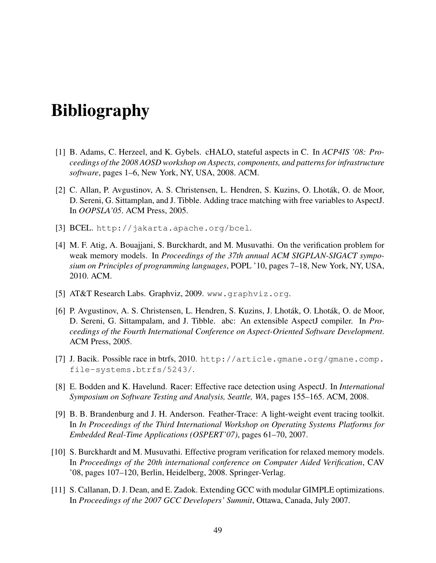## Bibliography

- [1] B. Adams, C. Herzeel, and K. Gybels. cHALO, stateful aspects in C. In *ACP4IS '08: Proceedings of the 2008 AOSD workshop on Aspects, components, and patterns for infrastructure software*, pages 1–6, New York, NY, USA, 2008. ACM.
- [2] C. Allan, P. Avgustinov, A. S. Christensen, L. Hendren, S. Kuzins, O. Lhoták, O. de Moor, D. Sereni, G. Sittamplan, and J. Tibble. Adding trace matching with free variables to AspectJ. In *OOPSLA'05*. ACM Press, 2005.
- [3] BCEL. http://jakarta.apache.org/bcel.
- [4] M. F. Atig, A. Bouajjani, S. Burckhardt, and M. Musuvathi. On the verification problem for weak memory models. In *Proceedings of the 37th annual ACM SIGPLAN-SIGACT symposium on Principles of programming languages*, POPL '10, pages 7–18, New York, NY, USA, 2010. ACM.
- [5] AT&T Research Labs. Graphviz, 2009. www.graphviz.org.
- [6] P. Avgustinov, A. S. Christensen, L. Hendren, S. Kuzins, J. Lhoták, O. Lhoták, O. de Moor, D. Sereni, G. Sittampalam, and J. Tibble. abc: An extensible AspectJ compiler. In *Proceedings of the Fourth International Conference on Aspect-Oriented Software Development*. ACM Press, 2005.
- [7] J. Bacik. Possible race in btrfs, 2010. http://article.gmane.org/gmane.comp. file-systems.btrfs/5243/.
- [8] E. Bodden and K. Havelund. Racer: Effective race detection using AspectJ. In *International Symposium on Software Testing and Analysis, Seattle, WA*, pages 155–165. ACM, 2008.
- [9] B. B. Brandenburg and J. H. Anderson. Feather-Trace: A light-weight event tracing toolkit. In *In Proceedings of the Third International Workshop on Operating Systems Platforms for Embedded Real-Time Applications (OSPERT'07)*, pages 61–70, 2007.
- [10] S. Burckhardt and M. Musuvathi. Effective program verification for relaxed memory models. In *Proceedings of the 20th international conference on Computer Aided Verification*, CAV '08, pages 107–120, Berlin, Heidelberg, 2008. Springer-Verlag.
- [11] S. Callanan, D. J. Dean, and E. Zadok. Extending GCC with modular GIMPLE optimizations. In *Proceedings of the 2007 GCC Developers' Summit*, Ottawa, Canada, July 2007.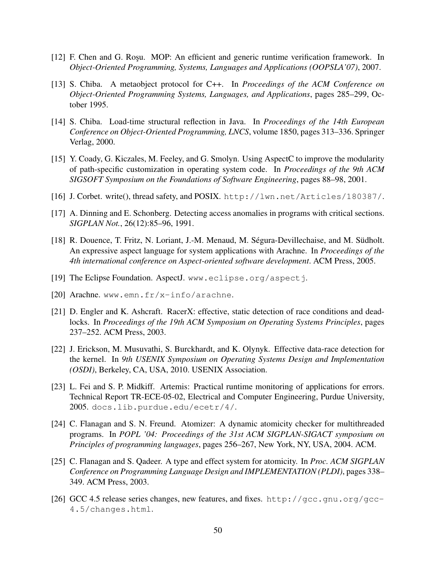- [12] F. Chen and G. Roşu. MOP: An efficient and generic runtime verification framework. In *Object-Oriented Programming, Systems, Languages and Applications (OOPSLA'07)*, 2007.
- [13] S. Chiba. A metaobject protocol for C++. In *Proceedings of the ACM Conference on Object-Oriented Programming Systems, Languages, and Applications*, pages 285–299, October 1995.
- [14] S. Chiba. Load-time structural reflection in Java. In *Proceedings of the 14th European Conference on Object-Oriented Programming, LNCS*, volume 1850, pages 313–336. Springer Verlag, 2000.
- [15] Y. Coady, G. Kiczales, M. Feeley, and G. Smolyn. Using AspectC to improve the modularity of path-specific customization in operating system code. In *Proceedings of the 9th ACM SIGSOFT Symposium on the Foundations of Software Engineering*, pages 88–98, 2001.
- [16] J. Corbet. write(), thread safety, and POSIX. http://lwn.net/Articles/180387/.
- [17] A. Dinning and E. Schonberg. Detecting access anomalies in programs with critical sections. *SIGPLAN Not.*, 26(12):85–96, 1991.
- [18] R. Douence, T. Fritz, N. Loriant, J.-M. Menaud, M. Ségura-Devillechaise, and M. Südholt. An expressive aspect language for system applications with Arachne. In *Proceedings of the 4th international conference on Aspect-oriented software development*. ACM Press, 2005.
- [19] The Eclipse Foundation. AspectJ. www.eclipse.org/aspectj.
- [20] Arachne. www.emn.fr/x-info/arachne.
- [21] D. Engler and K. Ashcraft. RacerX: effective, static detection of race conditions and deadlocks. In *Proceedings of the 19th ACM Symposium on Operating Systems Principles*, pages 237–252. ACM Press, 2003.
- [22] J. Erickson, M. Musuvathi, S. Burckhardt, and K. Olynyk. Effective data-race detection for the kernel. In *9th USENIX Symposium on Operating Systems Design and Implementation (OSDI)*, Berkeley, CA, USA, 2010. USENIX Association.
- [23] L. Fei and S. P. Midkiff. Artemis: Practical runtime monitoring of applications for errors. Technical Report TR-ECE-05-02, Electrical and Computer Engineering, Purdue University, 2005. docs.lib.purdue.edu/ecetr/4/.
- [24] C. Flanagan and S. N. Freund. Atomizer: A dynamic atomicity checker for multithreaded programs. In *POPL '04: Proceedings of the 31st ACM SIGPLAN-SIGACT symposium on Principles of programming languages*, pages 256–267, New York, NY, USA, 2004. ACM.
- [25] C. Flanagan and S. Qadeer. A type and effect system for atomicity. In *Proc. ACM SIGPLAN Conference on Programming Language Design and IMPLEMENTATION (PLDI)*, pages 338– 349. ACM Press, 2003.
- [26] GCC 4.5 release series changes, new features, and fixes. http://gcc.gnu.org/gcc-4.5/changes.html.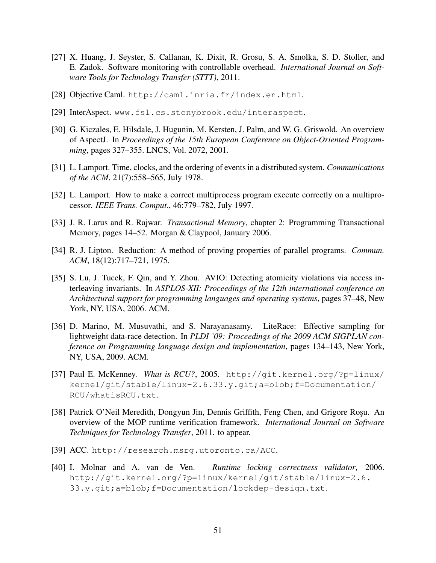- [27] X. Huang, J. Seyster, S. Callanan, K. Dixit, R. Grosu, S. A. Smolka, S. D. Stoller, and E. Zadok. Software monitoring with controllable overhead. *International Journal on Software Tools for Technology Transfer (STTT)*, 2011.
- [28] Objective Caml. http://caml.inria.fr/index.en.html.
- [29] InterAspect. www.fsl.cs.stonybrook.edu/interaspect.
- [30] G. Kiczales, E. Hilsdale, J. Hugunin, M. Kersten, J. Palm, and W. G. Griswold. An overview of AspectJ. In *Proceedings of the 15th European Conference on Object-Oriented Programming*, pages 327–355. LNCS, Vol. 2072, 2001.
- [31] L. Lamport. Time, clocks, and the ordering of events in a distributed system. *Communications of the ACM*, 21(7):558–565, July 1978.
- [32] L. Lamport. How to make a correct multiprocess program execute correctly on a multiprocessor. *IEEE Trans. Comput.*, 46:779–782, July 1997.
- [33] J. R. Larus and R. Rajwar. *Transactional Memory*, chapter 2: Programming Transactional Memory, pages 14–52. Morgan & Claypool, January 2006.
- [34] R. J. Lipton. Reduction: A method of proving properties of parallel programs. *Commun. ACM*, 18(12):717–721, 1975.
- [35] S. Lu, J. Tucek, F. Qin, and Y. Zhou. AVIO: Detecting atomicity violations via access interleaving invariants. In *ASPLOS-XII: Proceedings of the 12th international conference on Architectural support for programming languages and operating systems*, pages 37–48, New York, NY, USA, 2006. ACM.
- [36] D. Marino, M. Musuvathi, and S. Narayanasamy. LiteRace: Effective sampling for lightweight data-race detection. In *PLDI '09: Proceedings of the 2009 ACM SIGPLAN conference on Programming language design and implementation*, pages 134–143, New York, NY, USA, 2009. ACM.
- [37] Paul E. McKenney. *What is RCU?*, 2005. http://git.kernel.org/?p=linux/ kernel/git/stable/linux-2.6.33.y.git;a=blob;f=Documentation/ RCU/whatisRCU.txt.
- [38] Patrick O'Neil Meredith, Dongyun Jin, Dennis Griffith, Feng Chen, and Grigore Rosu. An overview of the MOP runtime verification framework. *International Journal on Software Techniques for Technology Transfer*, 2011. to appear.
- [39] ACC. http://research.msrg.utoronto.ca/ACC.
- [40] I. Molnar and A. van de Ven. *Runtime locking correctness validator*, 2006. http://git.kernel.org/?p=linux/kernel/git/stable/linux-2.6. 33.y.git;a=blob;f=Documentation/lockdep-design.txt.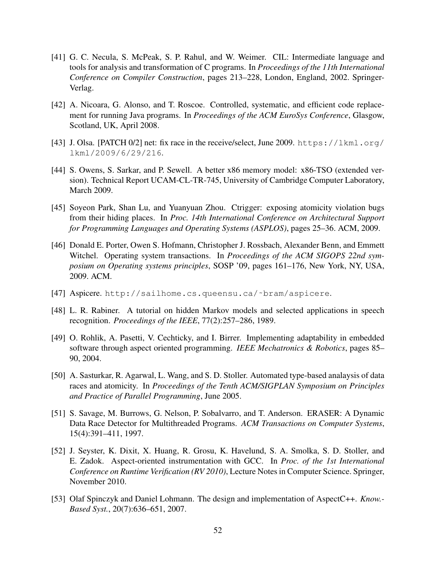- [41] G. C. Necula, S. McPeak, S. P. Rahul, and W. Weimer. CIL: Intermediate language and tools for analysis and transformation of C programs. In *Proceedings of the 11th International Conference on Compiler Construction*, pages 213–228, London, England, 2002. Springer-Verlag.
- [42] A. Nicoara, G. Alonso, and T. Roscoe. Controlled, systematic, and efficient code replacement for running Java programs. In *Proceedings of the ACM EuroSys Conference*, Glasgow, Scotland, UK, April 2008.
- [43] J. Olsa. [PATCH 0/2] net: fix race in the receive/select, June 2009. https://lkml.org/ lkml/2009/6/29/216.
- [44] S. Owens, S. Sarkar, and P. Sewell. A better x86 memory model: x86-TSO (extended version). Technical Report UCAM-CL-TR-745, University of Cambridge Computer Laboratory, March 2009.
- [45] Soyeon Park, Shan Lu, and Yuanyuan Zhou. Ctrigger: exposing atomicity violation bugs from their hiding places. In *Proc. 14th International Conference on Architectural Support for Programming Languages and Operating Systems (ASPLOS)*, pages 25–36. ACM, 2009.
- [46] Donald E. Porter, Owen S. Hofmann, Christopher J. Rossbach, Alexander Benn, and Emmett Witchel. Operating system transactions. In *Proceedings of the ACM SIGOPS 22nd symposium on Operating systems principles*, SOSP '09, pages 161–176, New York, NY, USA, 2009. ACM.
- [47] Aspicere. http://sailhome.cs.queensu.ca/~bram/aspicere.
- [48] L. R. Rabiner. A tutorial on hidden Markov models and selected applications in speech recognition. *Proceedings of the IEEE*, 77(2):257–286, 1989.
- [49] O. Rohlik, A. Pasetti, V. Cechticky, and I. Birrer. Implementing adaptability in embedded software through aspect oriented programming. *IEEE Mechatronics & Robotics*, pages 85– 90, 2004.
- [50] A. Sasturkar, R. Agarwal, L. Wang, and S. D. Stoller. Automated type-based analaysis of data races and atomicity. In *Proceedings of the Tenth ACM/SIGPLAN Symposium on Principles and Practice of Parallel Programming*, June 2005.
- [51] S. Savage, M. Burrows, G. Nelson, P. Sobalvarro, and T. Anderson. ERASER: A Dynamic Data Race Detector for Multithreaded Programs. *ACM Transactions on Computer Systems*, 15(4):391–411, 1997.
- [52] J. Seyster, K. Dixit, X. Huang, R. Grosu, K. Havelund, S. A. Smolka, S. D. Stoller, and E. Zadok. Aspect-oriented instrumentation with GCC. In *Proc. of the 1st International Conference on Runtime Verification (RV 2010)*, Lecture Notes in Computer Science. Springer, November 2010.
- [53] Olaf Spinczyk and Daniel Lohmann. The design and implementation of AspectC++. *Know.- Based Syst.*, 20(7):636–651, 2007.